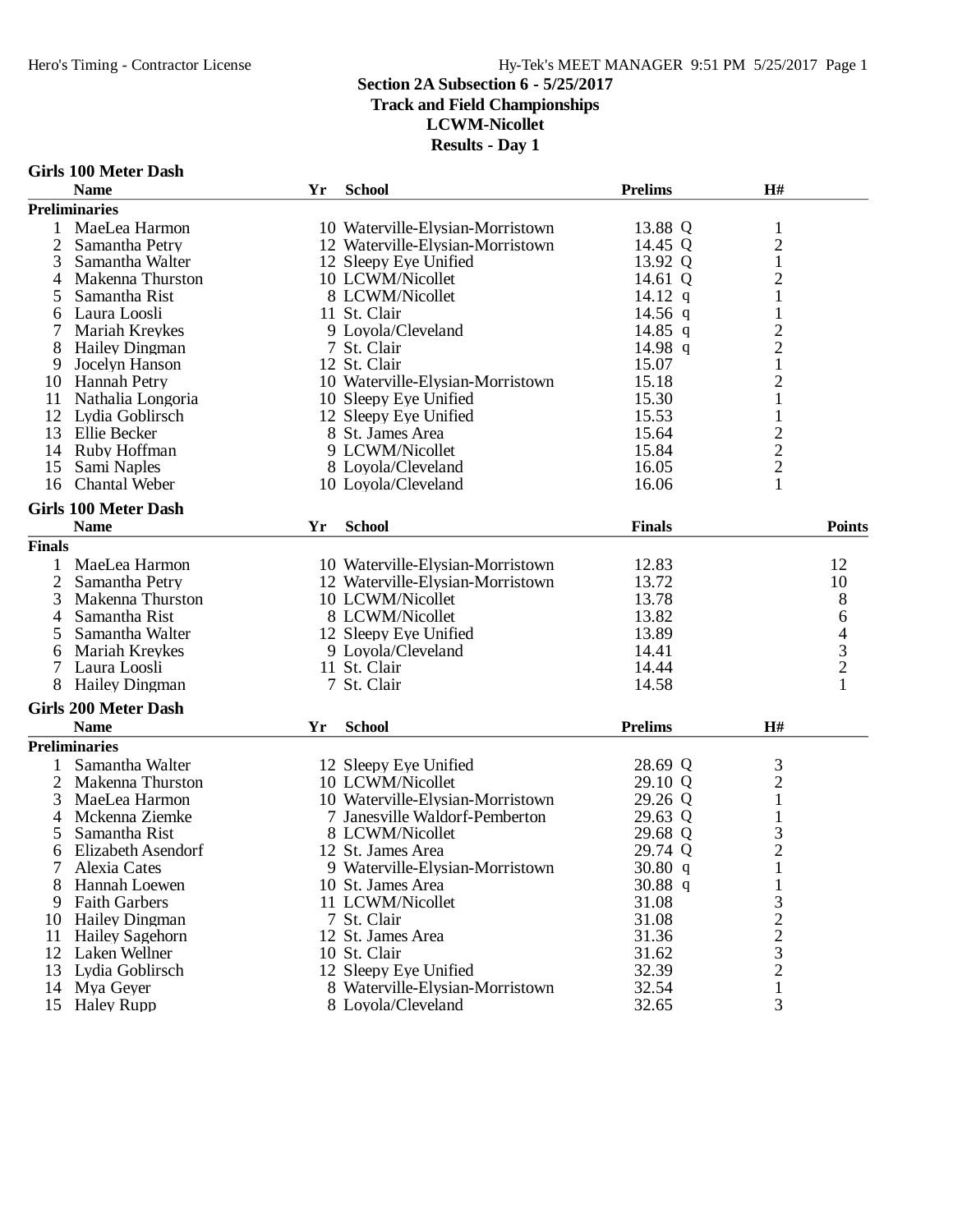# **Track and Field Championships**

**LCWM-Nicollet**

|  |  | Girls 100 Meter Dash |  |
|--|--|----------------------|--|
|--|--|----------------------|--|

|                | <b>Name</b>                 | Yr | <b>School</b>                    | <b>Prelims</b> | H#               |                |
|----------------|-----------------------------|----|----------------------------------|----------------|------------------|----------------|
|                | <b>Preliminaries</b>        |    |                                  |                |                  |                |
| 1              | MaeLea Harmon               |    | 10 Waterville-Elysian-Morristown | 13.88 Q        | $\mathbf{1}$     |                |
| $\overline{2}$ | Samantha Petry              |    | 12 Waterville-Elysian-Morristown | 14.45 Q        | $\boldsymbol{2}$ |                |
| 3              | Samantha Walter             |    | 12 Sleepy Eye Unified            | 13.92 Q        | $\mathbf{1}$     |                |
| 4              | Makenna Thurston            |    | 10 LCWM/Nicollet                 | 14.61 Q        | $\mathbf{2}$     |                |
| 5              | Samantha Rist               |    | 8 LCWM/Nicollet                  | 14.12 $q$      | $\mathbf{1}$     |                |
| 6              | Laura Loosli                |    | 11 St. Clair                     | 14.56 $q$      | $\mathbf{1}$     |                |
|                | <b>Mariah Kreykes</b>       |    | 9 Loyola/Cleveland               | 14.85 q        | $\overline{c}$   |                |
| 8              | <b>Hailey Dingman</b>       |    | 7 St. Clair                      | 14.98 q        | $\overline{c}$   |                |
| 9              | Jocelyn Hanson              |    | 12 St. Clair                     | 15.07          | $\mathbf 1$      |                |
| 10             | <b>Hannah Petry</b>         |    | 10 Waterville-Elysian-Morristown | 15.18          | $\mathbf{2}$     |                |
| 11             | Nathalia Longoria           |    | 10 Sleepy Eye Unified            | 15.30          | $\mathbf{1}$     |                |
| 12             | Lydia Goblirsch             |    | 12 Sleepy Eye Unified            | 15.53          | $\mathbf{1}$     |                |
| 13             | Ellie Becker                |    | 8 St. James Area                 | 15.64          | $\overline{c}$   |                |
| 14             | Ruby Hoffman                |    | 9 LCWM/Nicollet                  | 15.84          | $\overline{c}$   |                |
| 15             | Sami Naples                 |    | 8 Loyola/Cleveland               | 16.05          | $\overline{2}$   |                |
| 16             | <b>Chantal Weber</b>        |    | 10 Loyola/Cleveland              | 16.06          | 1                |                |
|                |                             |    |                                  |                |                  |                |
|                | <b>Girls 100 Meter Dash</b> |    |                                  |                |                  |                |
|                | <b>Name</b>                 | Yr | <b>School</b>                    | <b>Finals</b>  |                  | <b>Points</b>  |
| <b>Finals</b>  |                             |    |                                  |                |                  |                |
| 1              | MaeLea Harmon               |    | 10 Waterville-Elysian-Morristown | 12.83          |                  | 12             |
| 2              | Samantha Petry              |    | 12 Waterville-Elysian-Morristown | 13.72          |                  | 10             |
| 3              | Makenna Thurston            |    | 10 LCWM/Nicollet                 | 13.78          |                  | 8              |
| 4              | Samantha Rist               |    | 8 LCWM/Nicollet                  | 13.82          |                  | 6              |
| 5              | Samantha Walter             |    | 12 Sleepy Eye Unified            | 13.89          |                  | 4              |
| 6              | Mariah Kreykes              |    | 9 Loyola/Cleveland               | 14.41          |                  | $\overline{3}$ |
| 7              | Laura Loosli                |    | 11 St. Clair                     | 14.44          |                  | $\overline{c}$ |
| 8              | <b>Hailey Dingman</b>       |    | 7 St. Clair                      | 14.58          |                  | $\mathbf{1}$   |
|                | <b>Girls 200 Meter Dash</b> |    |                                  |                |                  |                |
|                |                             |    | <b>School</b>                    |                |                  |                |
|                | <b>Name</b>                 | Yr |                                  | <b>Prelims</b> | H#               |                |
|                | <b>Preliminaries</b>        |    |                                  |                |                  |                |
| 1              | Samantha Walter             |    | 12 Sleepy Eye Unified            | 28.69 Q        | 3                |                |
| $\overline{c}$ | Makenna Thurston            |    | 10 LCWM/Nicollet                 | 29.10 Q        | $\overline{c}$   |                |
| 3              | MaeLea Harmon               |    | 10 Waterville-Elysian-Morristown | 29.26 Q        | $\mathbf{1}$     |                |
| 4              | Mckenna Ziemke              |    | 7 Janesville Waldorf-Pemberton   | 29.63 Q        | $\mathbf{1}$     |                |
| 5              | Samantha Rist               |    | 8 LCWM/Nicollet                  | 29.68 Q        | 3                |                |
| 6              | Elizabeth Asendorf          |    | 12 St. James Area                | 29.74 Q        | $\overline{c}$   |                |
| 7              | Alexia Cates                |    | 9 Waterville-Elysian-Morristown  | 30.80 q        | $\mathbf{1}$     |                |
| 8              | Hannah Loewen               |    | 10 St. James Area                | 30.88 q        | 1                |                |
| 9              | <b>Faith Garbers</b>        |    | 11 LCWM/Nicollet                 | 31.08          | 3                |                |
| 10             | <b>Hailey Dingman</b>       |    | 7 St. Clair                      | 31.08          | $\overline{2}$   |                |
| 11             | <b>Hailey Sagehorn</b>      |    | 12 St. James Area                | 31.36          | $\overline{c}$   |                |
| 12             | Laken Wellner               |    | 10 St. Clair                     | 31.62          | 3                |                |
| 13             | Lydia Goblirsch             |    | 12 Sleepy Eye Unified            | 32.39          | $\overline{2}$   |                |
| 14             | Mya Geyer                   |    | 8 Waterville-Elysian-Morristown  | 32.54          | 1                |                |
| 15             | <b>Haley Rupp</b>           |    | 8 Loyola/Cleveland               | 32.65          | 3                |                |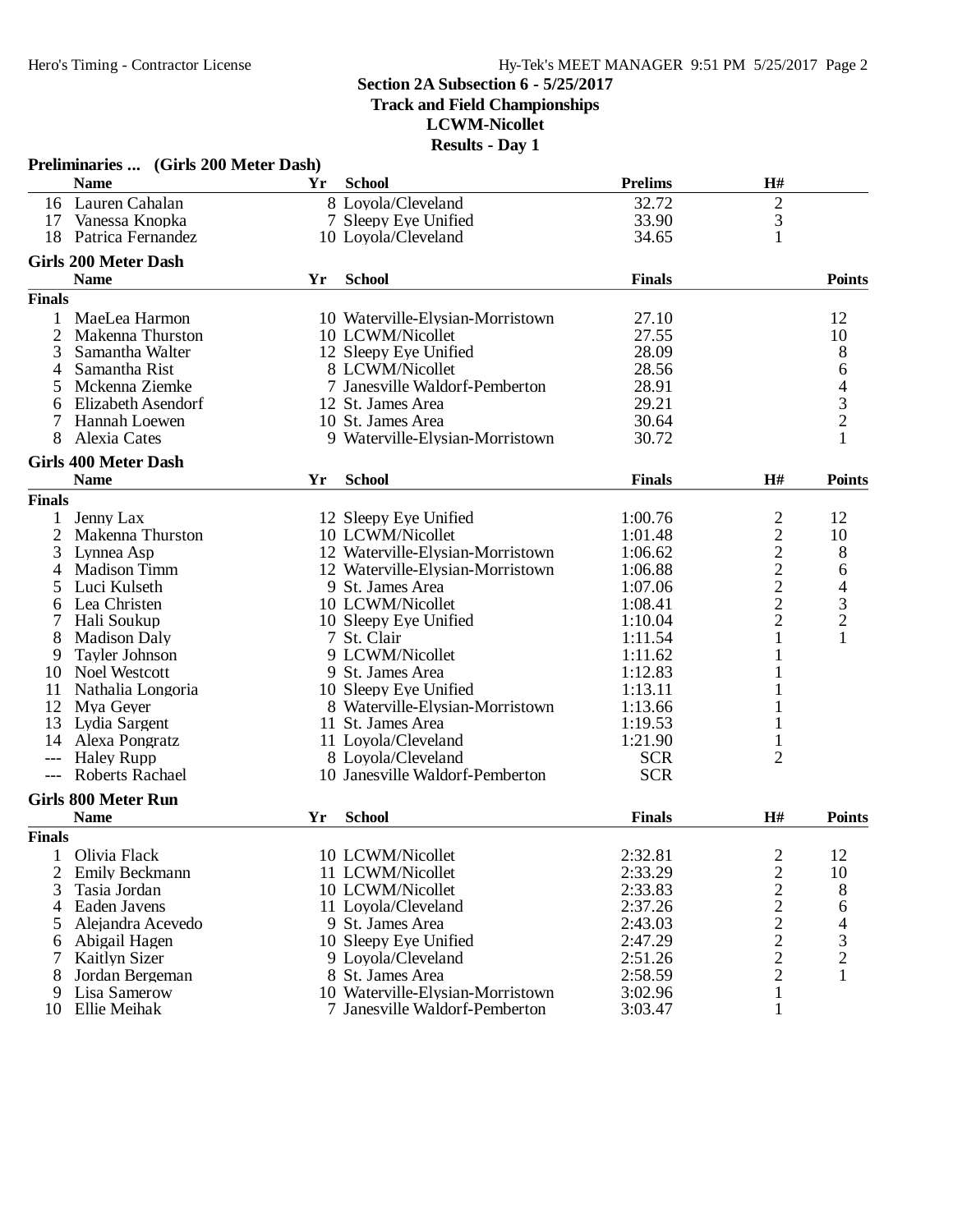**Track and Field Championships**

**LCWM-Nicollet**

|               | Preliminaries  (Girls 200 Meter Dash)       |    | Iwsuks - Day 1                   |                |                                            |                                                 |
|---------------|---------------------------------------------|----|----------------------------------|----------------|--------------------------------------------|-------------------------------------------------|
|               | <b>Name</b>                                 | Yr | <b>School</b>                    | <b>Prelims</b> | $\mathbf{H}$ #                             |                                                 |
|               | 16 Lauren Cahalan                           |    | 8 Loyola/Cleveland               | 32.72          | $\overline{2}$                             |                                                 |
| 17            | Vanessa Knopka                              |    | 7 Sleepy Eye Unified             | 33.90          | $\mathfrak{Z}$                             |                                                 |
| 18            | Patrica Fernandez                           |    | 10 Loyola/Cleveland              | 34.65          | 1                                          |                                                 |
|               | <b>Girls 200 Meter Dash</b>                 |    |                                  |                |                                            |                                                 |
|               | <b>Name</b>                                 | Yr | <b>School</b>                    | <b>Finals</b>  |                                            | <b>Points</b>                                   |
| <b>Finals</b> |                                             |    |                                  |                |                                            |                                                 |
|               | MaeLea Harmon                               |    | 10 Waterville-Elysian-Morristown | 27.10          |                                            | 12                                              |
| 2             | Makenna Thurston                            |    | 10 LCWM/Nicollet                 | 27.55          |                                            | 10                                              |
| 3             | Samantha Walter                             |    | 12 Sleepy Eye Unified            | 28.09          |                                            |                                                 |
| 4             | Samantha Rist                               |    | 8 LCWM/Nicollet                  | 28.56          |                                            |                                                 |
| 5             | Mckenna Ziemke                              |    | 7 Janesville Waldorf-Pemberton   | 28.91          |                                            |                                                 |
| 6             | Elizabeth Asendorf                          |    | 12 St. James Area                | 29.21          |                                            |                                                 |
|               | Hannah Loewen                               |    | 10 St. James Area                | 30.64          |                                            |                                                 |
| 8             | Alexia Cates                                |    | 9 Waterville-Elysian-Morristown  | 30.72          |                                            | 864321                                          |
|               | <b>Girls 400 Meter Dash</b>                 |    |                                  |                |                                            |                                                 |
|               | <b>Name</b>                                 | Yr | <b>School</b>                    | <b>Finals</b>  | H#                                         | <b>Points</b>                                   |
| <b>Finals</b> |                                             |    |                                  |                |                                            |                                                 |
| 1             | Jenny Lax                                   |    | 12 Sleepy Eye Unified            | 1:00.76        | $\overline{c}$                             | 12                                              |
| 2             | Makenna Thurston                            |    | 10 LCWM/Nicollet                 | 1:01.48        | $\overline{c}$                             | 10                                              |
| 3             | Lynnea Asp                                  |    | 12 Waterville-Elysian-Morristown | 1:06.62        |                                            | 8                                               |
| 4             | <b>Madison Timm</b>                         |    | 12 Waterville-Elysian-Morristown | 1:06.88        | $\begin{array}{c} 2 \\ 2 \\ 2 \end{array}$ | 6                                               |
| 5             | Luci Kulseth                                |    | 9 St. James Area                 | 1:07.06        |                                            |                                                 |
| 6             | Lea Christen                                |    | 10 LCWM/Nicollet                 | 1:08.41        |                                            | $\begin{array}{c} 4 \\ 3 \\ 2 \\ 1 \end{array}$ |
| 7             | Hali Soukup                                 |    | 10 Sleepy Eye Unified            | 1:10.04        | $\overline{c}$                             |                                                 |
| 8             | <b>Madison Daly</b>                         |    | 7 St. Clair                      | 1:11.54        |                                            |                                                 |
|               | Tayler Johnson                              |    | 9 LCWM/Nicollet                  | 1:11.62        |                                            |                                                 |
| 9             | Noel Westcott                               |    |                                  |                |                                            |                                                 |
| 10            |                                             |    | 9 St. James Area                 | 1:12.83        |                                            |                                                 |
| 11            | Nathalia Longoria                           |    | 10 Sleepy Eye Unified            | 1:13.11        |                                            |                                                 |
| 12            | Mya Geyer                                   |    | 8 Waterville-Elysian-Morristown  | 1:13.66        |                                            |                                                 |
| 13            | Lydia Sargent                               |    | 11 St. James Area                | 1:19.53        |                                            |                                                 |
| 14            | Alexa Pongratz                              |    | 11 Loyola/Cleveland              | 1:21.90        |                                            |                                                 |
| $---$         | <b>Haley Rupp</b><br><b>Roberts Rachael</b> |    | 8 Loyola/Cleveland               | <b>SCR</b>     | $\overline{2}$                             |                                                 |
|               |                                             |    | 10 Janesville Waldorf-Pemberton  | <b>SCR</b>     |                                            |                                                 |
|               | <b>Girls 800 Meter Run</b>                  |    |                                  |                |                                            |                                                 |
|               | <b>Name</b>                                 | Yr | <b>School</b>                    | <b>Finals</b>  | H#                                         | <b>Points</b>                                   |
| <b>Finals</b> |                                             |    |                                  |                |                                            |                                                 |
| 1             | Olivia Flack                                |    | 10 LCWM/Nicollet                 | 2:32.81        |                                            | 12                                              |
| 2             | Emily Beckmann                              |    | 11 LCWM/Nicollet                 | 2:33.29        | $\begin{array}{c} 2 \\ 2 \\ 2 \end{array}$ | 10                                              |
| 3             | Tasia Jordan                                |    | 10 LCWM/Nicollet                 | 2:33.83        |                                            | 8                                               |
| 4             | Eaden Javens                                |    | 11 Loyola/Cleveland              | 2:37.26        |                                            | 6                                               |
| 5             | Alejandra Acevedo                           |    | 9 St. James Area                 | 2:43.03        |                                            |                                                 |
| 6             | Abigail Hagen                               |    | 10 Sleepy Eye Unified            | 2:47.29        | $\frac{2}{2}$                              | $\frac{4}{3}$                                   |
| 7             | <b>Kaitlyn Sizer</b>                        |    | 9 Loyola/Cleveland               | 2:51.26        |                                            |                                                 |
| 8             | Jordan Bergeman                             |    | 8 St. James Area                 | 2:58.59        | $\overline{c}$                             | 1                                               |
| 9             | Lisa Samerow                                |    | 10 Waterville-Elysian-Morristown | 3:02.96        | 1                                          |                                                 |
| 10            | Ellie Meihak                                |    | 7 Janesville Waldorf-Pemberton   | 3:03.47        | 1                                          |                                                 |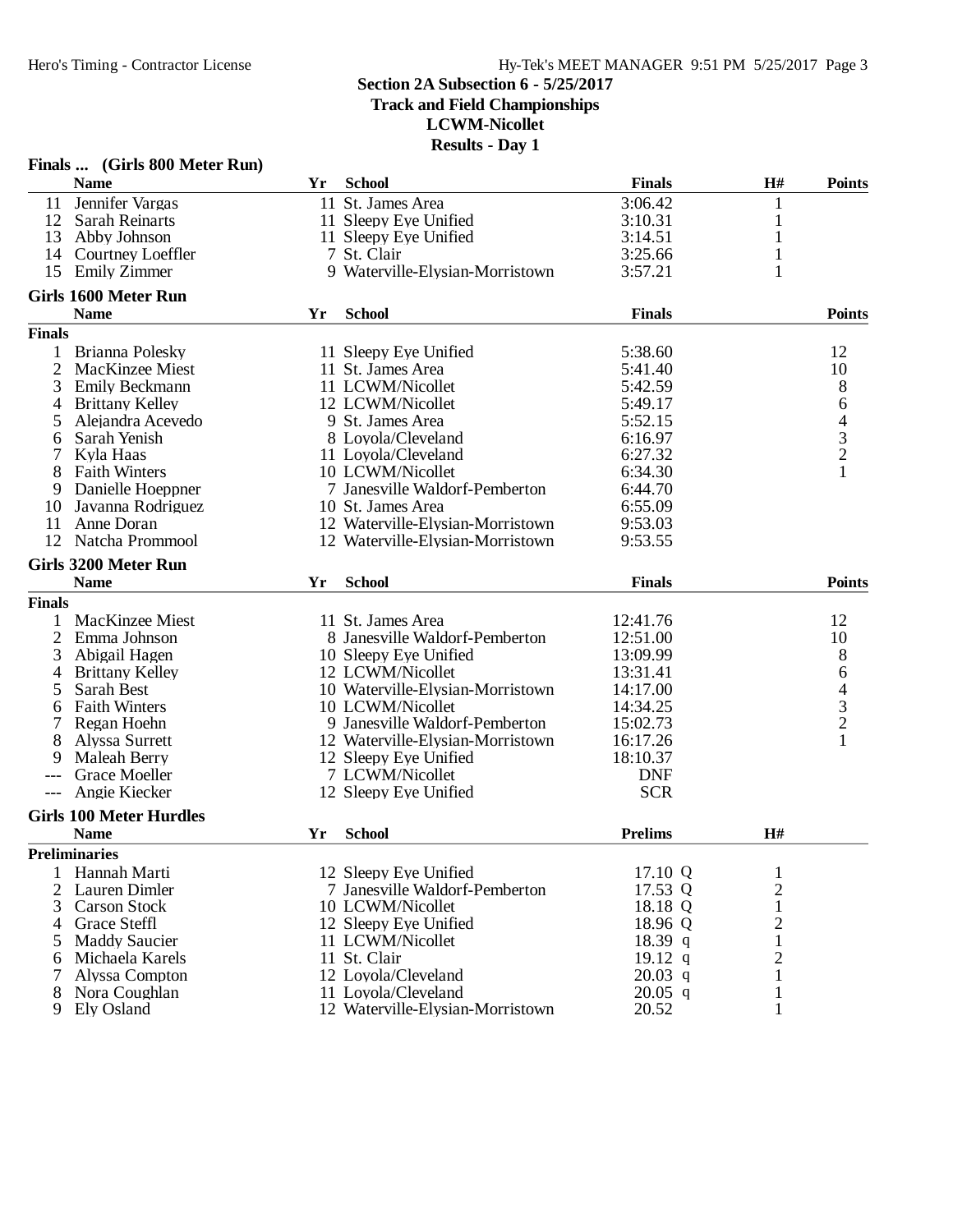**Track and Field Championships**

**LCWM-Nicollet**

|                | Finals  (Girls 800 Meter Run)  |    |                                  |                |                |                                                 |
|----------------|--------------------------------|----|----------------------------------|----------------|----------------|-------------------------------------------------|
|                | <b>Name</b>                    | Yr | <b>School</b>                    | <b>Finals</b>  | H#             | <b>Points</b>                                   |
| 11             | Jennifer Vargas                |    | 11 St. James Area                | 3:06.42        | 1              |                                                 |
| 12             | <b>Sarah Reinarts</b>          |    | 11 Sleepy Eye Unified            | 3:10.31        | 1              |                                                 |
| 13             | Abby Johnson                   |    | 11 Sleepy Eye Unified            | 3:14.51        | $\mathbf{1}$   |                                                 |
| 14             | Courtney Loeffler              |    | 7 St. Clair                      | 3:25.66        | 1              |                                                 |
| 15             | <b>Emily Zimmer</b>            |    | 9 Waterville-Elysian-Morristown  | 3:57.21        | 1              |                                                 |
|                | Girls 1600 Meter Run           |    |                                  |                |                |                                                 |
|                | <b>Name</b>                    | Yr | <b>School</b>                    | <b>Finals</b>  |                | <b>Points</b>                                   |
| <b>Finals</b>  |                                |    |                                  |                |                |                                                 |
|                | Brianna Polesky                |    | 11 Sleepy Eye Unified            | 5:38.60        |                | 12                                              |
| 2              | MacKinzee Miest                |    | 11 St. James Area                | 5:41.40        |                | 10                                              |
| 3              | Emily Beckmann                 |    | 11 LCWM/Nicollet                 | 5:42.59        |                | 8                                               |
| 4              | <b>Brittany Kelley</b>         |    | 12 LCWM/Nicollet                 | 5:49.17        |                | 6                                               |
| 5              | Alejandra Acevedo              |    | 9 St. James Area                 | 5:52.15        |                |                                                 |
| 6              | Sarah Yenish                   |    | 8 Loyola/Cleveland               | 6:16.97        |                |                                                 |
|                | Kyla Haas                      |    | 11 Loyola/Cleveland              | 6:27.32        |                |                                                 |
| 8              | <b>Faith Winters</b>           |    | 10 LCWM/Nicollet                 | 6:34.30        |                | $\begin{array}{c} 4 \\ 3 \\ 2 \\ 1 \end{array}$ |
| 9              | Danielle Hoeppner              |    | 7 Janesville Waldorf-Pemberton   | 6:44.70        |                |                                                 |
| 10             | Javanna Rodriguez              |    | 10 St. James Area                | 6:55.09        |                |                                                 |
| 11             | Anne Doran                     |    | 12 Waterville-Elysian-Morristown | 9:53.03        |                |                                                 |
| 12             | Natcha Prommool                |    | 12 Waterville-Elysian-Morristown | 9:53.55        |                |                                                 |
|                |                                |    |                                  |                |                |                                                 |
|                | <b>Girls 3200 Meter Run</b>    |    |                                  |                |                |                                                 |
|                | <b>Name</b>                    | Yr | <b>School</b>                    | <b>Finals</b>  |                | <b>Points</b>                                   |
| <b>Finals</b>  |                                |    |                                  |                |                |                                                 |
|                | MacKinzee Miest                |    | 11 St. James Area                | 12:41.76       |                | 12                                              |
| $\overline{2}$ | Emma Johnson                   |    | 8 Janesville Waldorf-Pemberton   | 12:51.00       |                | 10                                              |
| 3              | Abigail Hagen                  |    | 10 Sleepy Eye Unified            | 13:09.99       |                | 8                                               |
| 4              | <b>Brittany Kelley</b>         |    | 12 LCWM/Nicollet                 | 13:31.41       |                | 6                                               |
| 5              | Sarah Best                     |    | 10 Waterville-Elysian-Morristown | 14:17.00       |                |                                                 |
| 6              | <b>Faith Winters</b>           |    | 10 LCWM/Nicollet                 | 14:34.25       |                | $\begin{array}{c} 4 \\ 3 \\ 2 \end{array}$      |
|                | Regan Hoehn                    |    | 9 Janesville Waldorf-Pemberton   | 15:02.73       |                |                                                 |
| 8              | Alyssa Surrett                 |    | 12 Waterville-Elysian-Morristown | 16:17.26       |                | $\mathbf{1}$                                    |
| 9              | <b>Maleah Berry</b>            |    | 12 Sleepy Eye Unified            | 18:10.37       |                |                                                 |
|                | <b>Grace Moeller</b>           |    | 7 LCWM/Nicollet                  | <b>DNF</b>     |                |                                                 |
|                | Angie Kiecker                  |    | 12 Sleepy Eye Unified            | <b>SCR</b>     |                |                                                 |
|                | <b>Girls 100 Meter Hurdles</b> |    |                                  |                |                |                                                 |
|                | <b>Name</b>                    | Yr | <b>School</b>                    | <b>Prelims</b> | H#             |                                                 |
|                | <b>Preliminaries</b>           |    |                                  |                |                |                                                 |
| 1              | Hannah Marti                   |    | 12 Sleepy Eye Unified            | 17.10 Q        | 1              |                                                 |
| 2              | Lauren Dimler                  |    | 7 Janesville Waldorf-Pemberton   | 17.53 Q        | $\overline{c}$ |                                                 |
| 3              | <b>Carson Stock</b>            |    | 10 LCWM/Nicollet                 | 18.18 Q        | 1              |                                                 |
| 4              | <b>Grace Steffl</b>            |    | 12 Sleepy Eye Unified            | 18.96 Q        | 2              |                                                 |
| 5              | <b>Maddy Saucier</b>           |    | 11 LCWM/Nicollet                 | 18.39 q        | 1              |                                                 |
| 6              | Michaela Karels                |    | 11 St. Clair                     | 19.12 $q$      | $\overline{c}$ |                                                 |
|                | Alyssa Compton                 |    | 12 Loyola/Cleveland              | $20.03$ q      | 1              |                                                 |
| 8              | Nora Coughlan                  |    | 11 Loyola/Cleveland              | $20.05$ q      | 1              |                                                 |
| 9              | Ely Osland                     |    | 12 Waterville-Elysian-Morristown | 20.52          | 1              |                                                 |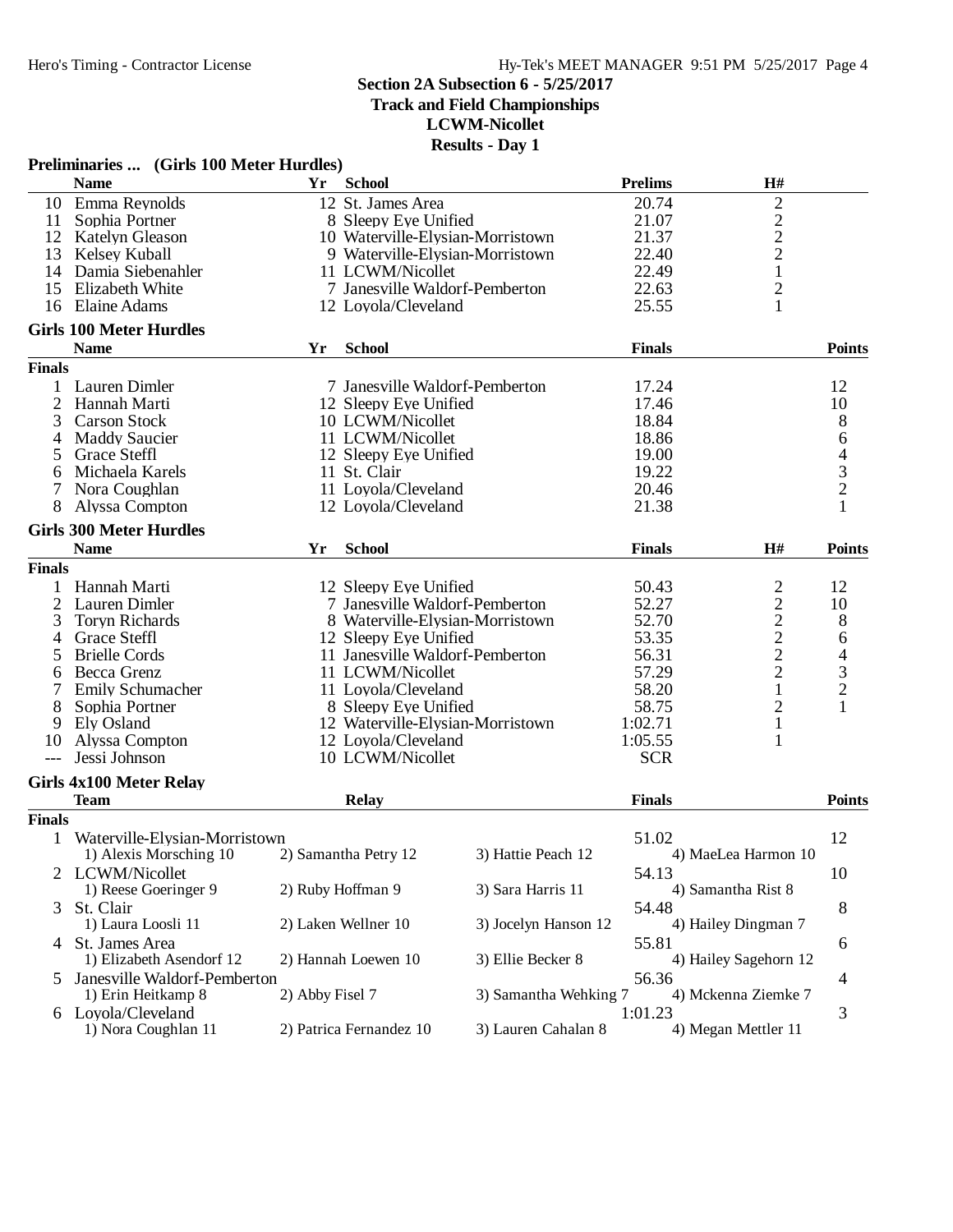**Track and Field Championships**

**LCWM-Nicollet**

|                | Preliminaries  (Girls 100 Meter Hurdles)      |                 |                                  |                       |                |                                                   |                |
|----------------|-----------------------------------------------|-----------------|----------------------------------|-----------------------|----------------|---------------------------------------------------|----------------|
|                | <b>Name</b>                                   | Yr              | <b>School</b>                    |                       | <b>Prelims</b> | H#                                                |                |
|                | 10 Emma Reynolds                              |                 | 12 St. James Area                |                       | 20.74          | $\overline{c}$                                    |                |
| 11             | Sophia Portner                                |                 | 8 Sleepy Eye Unified             |                       | 21.07          |                                                   |                |
|                | 12 Katelyn Gleason                            |                 | 10 Waterville-Elysian-Morristown |                       | 21.37          | $\frac{2}{2}$                                     |                |
| 13             | Kelsey Kuball                                 |                 | 9 Waterville-Elysian-Morristown  |                       | 22.40          | $\overline{c}$                                    |                |
|                | 14 Damia Siebenahler                          |                 | 11 LCWM/Nicollet                 |                       | 22.49          | $\mathbf{1}$                                      |                |
| 15             | Elizabeth White                               |                 | 7 Janesville Waldorf-Pemberton   |                       | 22.63          | $\overline{c}$                                    |                |
|                | 16 Elaine Adams                               |                 |                                  |                       | 25.55          | $\mathbf{1}$                                      |                |
|                |                                               |                 | 12 Loyola/Cleveland              |                       |                |                                                   |                |
|                | <b>Girls 100 Meter Hurdles</b><br><b>Name</b> | Yr              | <b>School</b>                    |                       |                |                                                   |                |
| <b>Finals</b>  |                                               |                 |                                  |                       | <b>Finals</b>  |                                                   | <b>Points</b>  |
|                |                                               |                 |                                  |                       |                |                                                   |                |
| 1              | Lauren Dimler                                 |                 | 7 Janesville Waldorf-Pemberton   |                       | 17.24          |                                                   | 12             |
| $\overline{2}$ | Hannah Marti                                  |                 | 12 Sleepy Eye Unified            |                       | 17.46          |                                                   | 10             |
| 3              | <b>Carson Stock</b>                           |                 | 10 LCWM/Nicollet                 |                       | 18.84          |                                                   | 8              |
| 4              | <b>Maddy Saucier</b>                          |                 | 11 LCWM/Nicollet                 |                       | 18.86          |                                                   | 6              |
| 5              | <b>Grace Steffl</b>                           |                 | 12 Sleepy Eye Unified            |                       | 19.00          |                                                   |                |
| 6              | Michaela Karels                               |                 | 11 St. Clair                     |                       | 19.22          |                                                   | $\frac{4}{3}$  |
| 7              | Nora Coughlan                                 |                 | 11 Loyola/Cleveland              |                       | 20.46          |                                                   |                |
| 8              | Alyssa Compton                                |                 | 12 Loyola/Cleveland              |                       | 21.38          |                                                   | $\mathbf{1}$   |
|                | <b>Girls 300 Meter Hurdles</b>                |                 |                                  |                       |                |                                                   |                |
|                | <b>Name</b>                                   | Yr              | <b>School</b>                    |                       | <b>Finals</b>  | H#                                                | <b>Points</b>  |
| <b>Finals</b>  |                                               |                 |                                  |                       |                |                                                   |                |
|                |                                               |                 |                                  |                       |                |                                                   |                |
| 1              | Hannah Marti                                  |                 | 12 Sleepy Eye Unified            |                       | 50.43          | $\overline{c}$                                    | 12             |
| $\overline{2}$ | Lauren Dimler                                 |                 | 7 Janesville Waldorf-Pemberton   |                       | 52.27          | $\begin{array}{c}\n2 \\ 2 \\ 2 \\ 2\n\end{array}$ | 10             |
| 3              | <b>Toryn Richards</b>                         |                 | 8 Waterville-Elysian-Morristown  |                       | 52.70          |                                                   | 8              |
| 4              | Grace Steffl                                  |                 | 12 Sleepy Eye Unified            |                       | 53.35          |                                                   | 6              |
| 5              | <b>Brielle Cords</b>                          |                 | 11 Janesville Waldorf-Pemberton  |                       | 56.31          |                                                   | $\overline{4}$ |
| 6              | Becca Grenz                                   |                 | 11 LCWM/Nicollet                 |                       | 57.29          |                                                   | $\mathfrak{Z}$ |
|                | <b>Emily Schumacher</b>                       |                 | 11 Loyola/Cleveland              |                       | 58.20          | $\,1$                                             | $\overline{2}$ |
| 8              | Sophia Portner                                |                 | 8 Sleepy Eye Unified             |                       | 58.75          | $\overline{c}$                                    |                |
| 9              | Ely Osland                                    |                 | 12 Waterville-Elysian-Morristown |                       | 1:02.71        | $\mathbf{1}$                                      |                |
| 10             | Alyssa Compton                                |                 | 12 Loyola/Cleveland              |                       | 1:05.55        | 1                                                 |                |
| $---$          | Jessi Johnson                                 |                 | 10 LCWM/Nicollet                 |                       | <b>SCR</b>     |                                                   |                |
|                |                                               |                 |                                  |                       |                |                                                   |                |
|                | <b>Girls 4x100 Meter Relay</b><br><b>Team</b> |                 | Relay                            |                       | <b>Finals</b>  |                                                   | <b>Points</b>  |
| <b>Finals</b>  |                                               |                 |                                  |                       |                |                                                   |                |
|                |                                               |                 |                                  |                       |                |                                                   |                |
| 1              | Waterville-Elysian-Morristown                 |                 |                                  |                       | 51.02          |                                                   | 12             |
|                | 1) Alexis Morsching 10                        |                 | 2) Samantha Petry 12             | 3) Hattie Peach 12    |                | 4) MaeLea Harmon 10                               |                |
|                | 2 LCWM/Nicollet                               |                 |                                  |                       | 54.13          |                                                   | 10             |
|                | 1) Reese Goeringer 9                          |                 | 2) Ruby Hoffman 9                | 3) Sara Harris 11     |                | 4) Samantha Rist 8                                |                |
|                | 3 St. Clair                                   |                 |                                  |                       | 54.48          |                                                   | 8              |
|                | 1) Laura Loosli 11                            |                 | 2) Laken Wellner 10              | 3) Jocelyn Hanson 12  |                | 4) Hailey Dingman 7                               |                |
|                | 4 St. James Area                              |                 |                                  |                       | 55.81          |                                                   | 6              |
|                | 1) Elizabeth Asendorf 12                      |                 | 2) Hannah Loewen 10              | 3) Ellie Becker 8     |                | 4) Hailey Sagehorn 12                             |                |
|                |                                               |                 |                                  |                       |                |                                                   |                |
| $\mathcal{F}$  | Janesville Waldorf-Pemberton                  |                 |                                  |                       | 56.36          |                                                   | 4              |
|                | 1) Erin Heitkamp 8                            | 2) Abby Fisel 7 |                                  | 3) Samantha Wehking 7 |                | 4) Mckenna Ziemke 7                               |                |
|                | 6 Loyola/Cleveland                            |                 |                                  |                       | 1:01.23        |                                                   | 3              |
|                | 1) Nora Coughlan 11                           |                 | 2) Patrica Fernandez 10          | 3) Lauren Cahalan 8   |                | 4) Megan Mettler 11                               |                |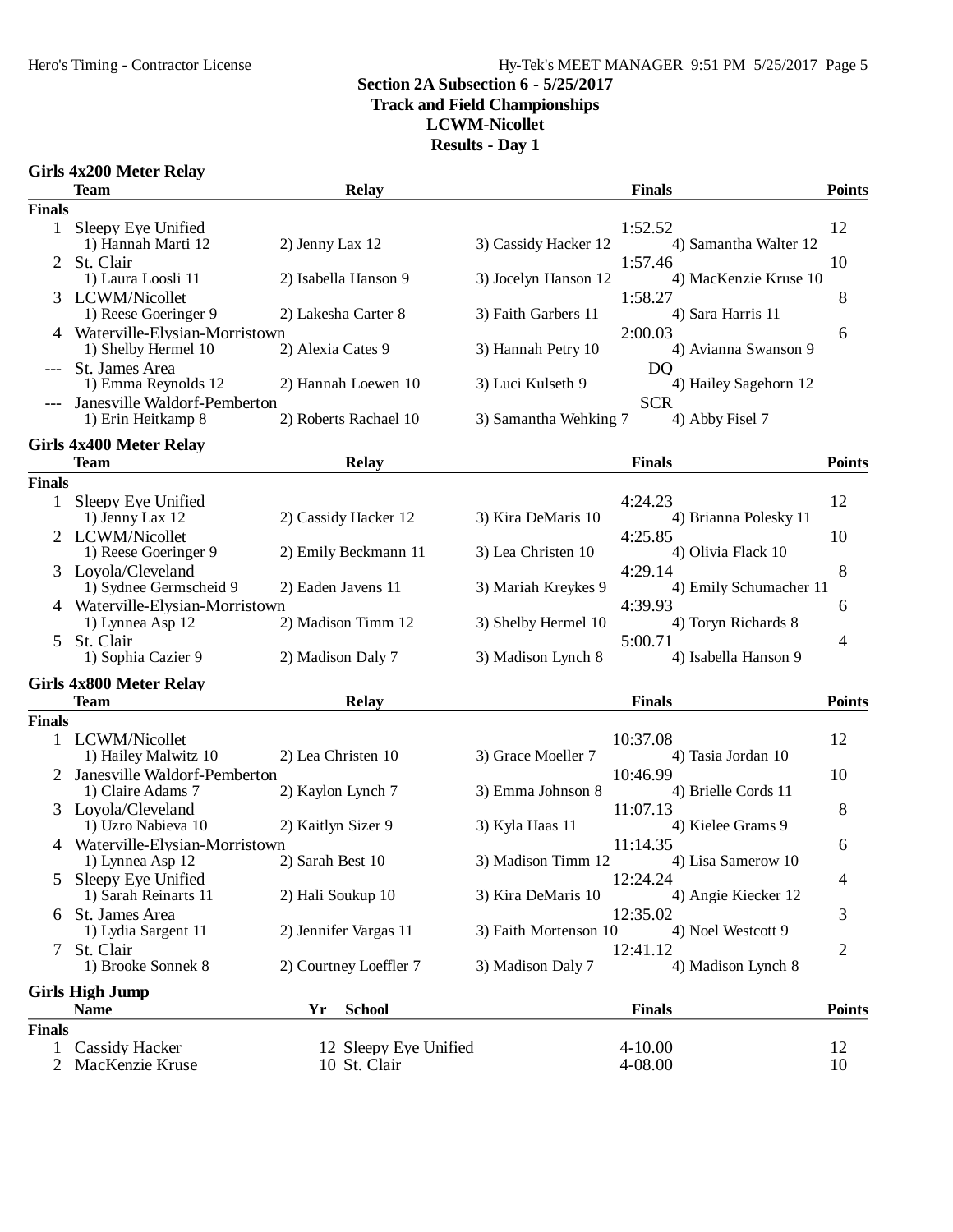### Hy-Tek's MEET MANAGER 9:51 PM 5/25/2017 Page 5

## **Section 2A Subsection 6 - 5/25/2017**

**Track and Field Championships**

**LCWM-Nicollet**

**Results - Day 1**

### **Girls 4x200 Meter Relay**

|               | <b>Team</b>                                                   |                    | <b>Relay</b>                          |                       | <b>Finals</b>                            | <b>Points</b>  |
|---------------|---------------------------------------------------------------|--------------------|---------------------------------------|-----------------------|------------------------------------------|----------------|
| <b>Finals</b> |                                                               |                    |                                       |                       |                                          |                |
| $\mathbf{1}$  | Sleepy Eye Unified<br>1) Hannah Marti 12                      | 2) Jenny Lax 12    |                                       | 3) Cassidy Hacker 12  | 1:52.52<br>4) Samantha Walter 12         | 12             |
| 2             | St. Clair<br>1) Laura Loosli 11                               |                    | 2) Isabella Hanson 9                  | 3) Jocelyn Hanson 12  | 1:57.46<br>4) MacKenzie Kruse 10         | 10             |
| 3.            | LCWM/Nicollet<br>1) Reese Goeringer 9                         |                    | 2) Lakesha Carter 8                   | 3) Faith Garbers 11   | 1:58.27<br>4) Sara Harris 11             | 8              |
|               | 4 Waterville-Elysian-Morristown<br>1) Shelby Hermel 10        | 2) Alexia Cates 9  |                                       | 3) Hannah Petry 10    | 2:00.03<br>4) Avianna Swanson 9          | 6              |
|               | St. James Area<br>1) Emma Reynolds 12                         |                    | 2) Hannah Loewen 10                   | 3) Luci Kulseth 9     | D <sub>Q</sub><br>4) Hailey Sagehorn 12  |                |
|               | Janesville Waldorf-Pemberton<br>1) Erin Heitkamp 8            |                    | 2) Roberts Rachael 10                 | 3) Samantha Wehking 7 | <b>SCR</b><br>4) Abby Fisel 7            |                |
|               | <b>Girls 4x400 Meter Relay</b>                                |                    |                                       |                       |                                          |                |
|               | Team                                                          |                    | <b>Relay</b>                          |                       | <b>Finals</b>                            | <b>Points</b>  |
| <b>Finals</b> |                                                               |                    |                                       |                       |                                          |                |
|               | Sleepy Eye Unified<br>1) Jenny Lax 12                         |                    | 2) Cassidy Hacker 12                  | 3) Kira DeMaris 10    | 4:24.23<br>4) Brianna Polesky 11         | 12             |
|               | 2 LCWM/Nicollet<br>1) Reese Goeringer 9<br>3 Loyola/Cleveland |                    | 2) Emily Beckmann 11                  | 3) Lea Christen 10    | 4:25.85<br>4) Olivia Flack 10<br>4:29.14 | 10<br>8        |
|               | 1) Sydnee Germscheid 9                                        |                    | 2) Eaden Javens 11                    | 3) Mariah Kreykes 9   | 4) Emily Schumacher 11                   |                |
|               | 4 Waterville-Elysian-Morristown<br>1) Lynnea Asp 12           |                    | 2) Madison Timm 12                    | 3) Shelby Hermel 10   | 4:39.93<br>4) Toryn Richards 8           | 6              |
| 5.            | St. Clair<br>1) Sophia Cazier 9                               | 2) Madison Daly 7  |                                       | 3) Madison Lynch 8    | 5:00.71<br>4) Isabella Hanson 9          | 4              |
|               | <b>Girls 4x800 Meter Relay</b><br><b>Team</b>                 |                    | <b>Relay</b>                          |                       | <b>Finals</b>                            | <b>Points</b>  |
| <b>Finals</b> |                                                               |                    |                                       |                       |                                          |                |
|               | 1 LCWM/Nicollet                                               |                    |                                       |                       | 10:37.08                                 | 12             |
|               | 1) Hailey Malwitz 10                                          | 2) Lea Christen 10 |                                       | 3) Grace Moeller 7    | 4) Tasia Jordan 10                       |                |
|               | 2 Janesville Waldorf-Pemberton                                |                    |                                       |                       | 10:46.99                                 | 10             |
|               | 1) Claire Adams 7                                             | 2) Kaylon Lynch 7  |                                       | 3) Emma Johnson 8     | 4) Brielle Cords 11                      |                |
| 3             | Loyola/Cleveland                                              |                    |                                       |                       | 11:07.13                                 | 8              |
|               | 1) Uzro Nabieva 10                                            | 2) Kaitlyn Sizer 9 |                                       | 3) Kyla Haas 11       | 4) Kielee Grams 9                        |                |
|               | Waterville-Elysian-Morristown<br>1) Lynnea Asp 12             | 2) Sarah Best 10   |                                       | 3) Madison Timm 12    | 11:14.35<br>4) Lisa Samerow 10           | 6              |
|               | 5 Sleepy Eye Unified                                          |                    |                                       |                       | 12:24.24                                 | 4              |
|               | 1) Sarah Reinarts 11                                          | 2) Hali Soukup 10  |                                       | 3) Kira DeMaris 10    | 4) Angie Kiecker 12                      |                |
|               | 6 St. James Area<br>1) Lydia Sargent 11                       |                    | 2) Jennifer Vargas 11                 | 3) Faith Mortenson 10 | 12:35.02<br>4) Noel Westcott 9           | 3              |
|               | St. Clair<br>1) Brooke Sonnek 8                               |                    | 2) Courtney Loeffler 7                | 3) Madison Daly 7     | 12:41.12<br>4) Madison Lynch 8           | $\overline{2}$ |
|               | <b>Girls High Jump</b>                                        |                    |                                       |                       |                                          |                |
|               | <b>Name</b>                                                   | Yr                 | <b>School</b>                         |                       | <b>Finals</b>                            | <b>Points</b>  |
| <b>Finals</b> |                                                               |                    |                                       |                       |                                          |                |
| 1<br>2        | <b>Cassidy Hacker</b><br>MacKenzie Kruse                      |                    | 12 Sleepy Eye Unified<br>10 St. Clair |                       | $4 - 10.00$<br>4-08.00                   | 12<br>10       |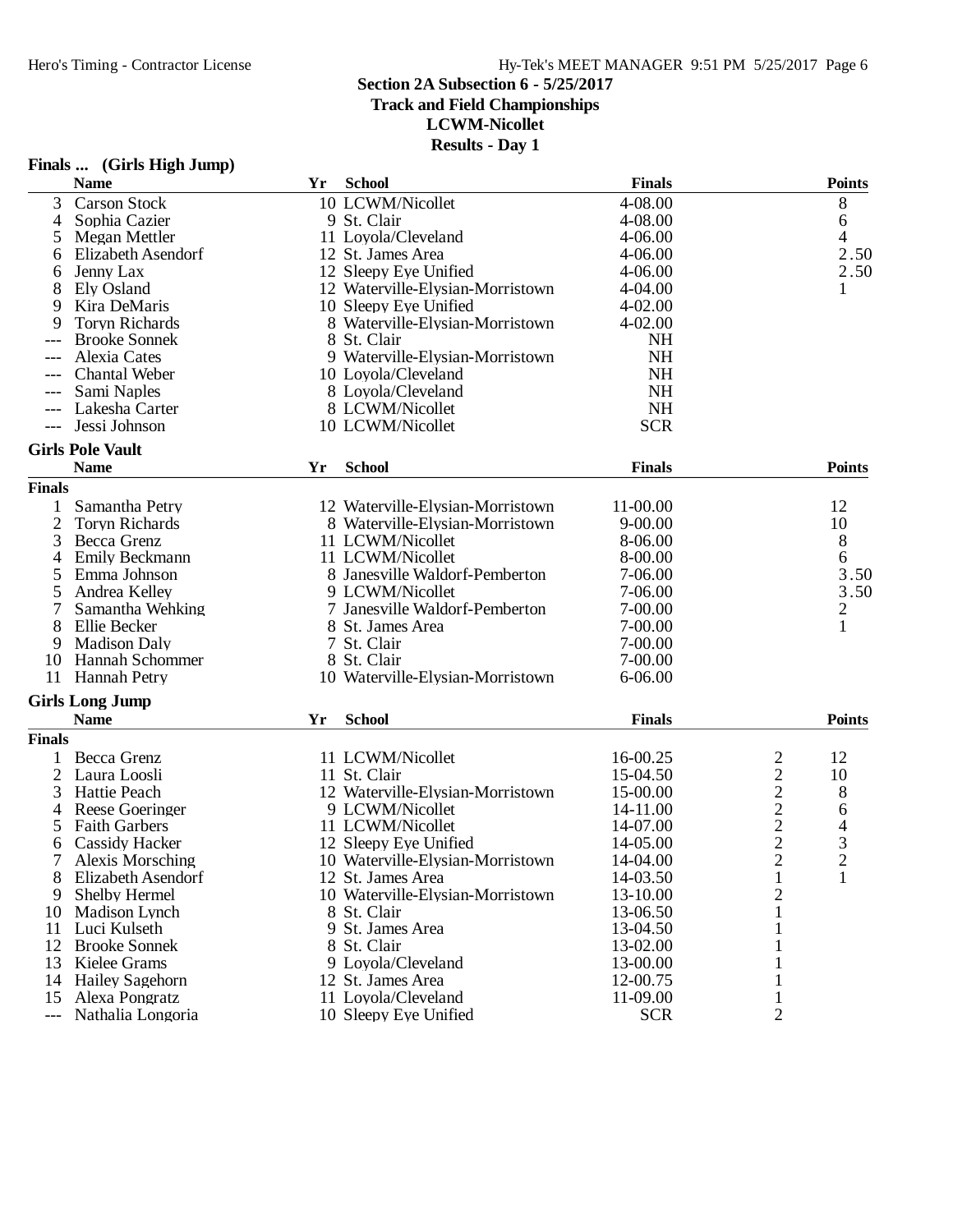**Track and Field Championships**

**LCWM-Nicollet**

|                | Finals  (Girls High Jump)              |    |                                                 |                    |                                            |                |
|----------------|----------------------------------------|----|-------------------------------------------------|--------------------|--------------------------------------------|----------------|
|                | <b>Name</b>                            | Yr | <b>School</b>                                   | <b>Finals</b>      |                                            | <b>Points</b>  |
| 3              | <b>Carson Stock</b>                    |    | 10 LCWM/Nicollet                                | 4-08.00            |                                            | 8              |
| $\overline{4}$ | Sophia Cazier                          |    | 9 St. Clair                                     | 4-08.00            |                                            | 6              |
| 5              | Megan Mettler                          |    | 11 Loyola/Cleveland                             | 4-06.00            |                                            | 4              |
| 6              | Elizabeth Asendorf                     |    | 12 St. James Area                               | 4-06.00            |                                            | 2.50           |
| 6              | Jenny Lax                              |    | 12 Sleepy Eye Unified                           | $4 - 06.00$        |                                            | 2.50           |
| 8              | Ely Osland                             |    | 12 Waterville-Elysian-Morristown                | 4-04.00            |                                            | 1              |
| 9              | Kira DeMaris                           |    | 10 Sleepy Eye Unified                           | $4 - 02.00$        |                                            |                |
| 9              | <b>Toryn Richards</b>                  |    | 8 Waterville-Elysian-Morristown                 | $4 - 02.00$        |                                            |                |
|                | <b>Brooke Sonnek</b>                   |    | 8 St. Clair                                     | <b>NH</b>          |                                            |                |
| $---$          | Alexia Cates                           |    | 9 Waterville-Elysian-Morristown                 | <b>NH</b>          |                                            |                |
|                | <b>Chantal Weber</b>                   |    | 10 Loyola/Cleveland                             | <b>NH</b>          |                                            |                |
|                | Sami Naples                            |    | 8 Loyola/Cleveland                              | <b>NH</b>          |                                            |                |
| $---$          | Lakesha Carter                         |    | 8 LCWM/Nicollet                                 | <b>NH</b>          |                                            |                |
|                | Jessi Johnson                          |    | 10 LCWM/Nicollet                                | <b>SCR</b>         |                                            |                |
|                | <b>Girls Pole Vault</b>                |    |                                                 |                    |                                            |                |
|                | <b>Name</b>                            | Yr | <b>School</b>                                   | <b>Finals</b>      |                                            | <b>Points</b>  |
| <b>Finals</b>  |                                        |    |                                                 |                    |                                            |                |
| 1              | Samantha Petry                         |    | 12 Waterville-Elysian-Morristown                | 11-00.00           |                                            | 12             |
| $\mathbf{2}$   | <b>Toryn Richards</b>                  |    | 8 Waterville-Elysian-Morristown                 | $9 - 00.00$        |                                            | 10             |
| 3              | Becca Grenz                            |    | 11 LCWM/Nicollet                                | 8-06.00            |                                            | $8\,$          |
| 4              | Emily Beckmann                         |    | 11 LCWM/Nicollet                                | 8-00.00            |                                            | 6              |
| 5              | Emma Johnson                           |    | 8 Janesville Waldorf-Pemberton                  | 7-06.00            |                                            | 3.50           |
|                | Andrea Kelley                          |    | 9 LCWM/Nicollet                                 | 7-06.00            |                                            | 3.50           |
| 5              | Samantha Wehking                       |    | 7 Janesville Waldorf-Pemberton                  | 7-00.00            |                                            | $\overline{c}$ |
| 8              | Ellie Becker                           |    | 8 St. James Area                                | $7 - 00.00$        |                                            | $\mathbf{1}$   |
|                | <b>Madison Daly</b>                    |    | 7 St. Clair                                     | 7-00.00            |                                            |                |
| 9              |                                        |    |                                                 |                    |                                            |                |
| 10<br>11       | Hannah Schommer<br><b>Hannah Petry</b> |    | 8 St. Clair<br>10 Waterville-Elysian-Morristown | 7-00.00<br>6-06.00 |                                            |                |
|                |                                        |    |                                                 |                    |                                            |                |
|                | <b>Girls Long Jump</b>                 |    |                                                 |                    |                                            |                |
|                | <b>Name</b>                            | Yr | <b>School</b>                                   | <b>Finals</b>      |                                            | <b>Points</b>  |
| <b>Finals</b>  |                                        |    |                                                 |                    |                                            |                |
| 1              | Becca Grenz                            |    | 11 LCWM/Nicollet                                | 16-00.25           | $\overline{\mathbf{c}}$                    | 12             |
| 2              | Laura Loosli                           |    | 11 St. Clair                                    | 15-04.50           | $\overline{\mathbf{c}}$                    | 10             |
| 3              | Hattie Peach                           |    | 12 Waterville-Elysian-Morristown                | 15-00.00           | $\begin{array}{c} 2 \\ 2 \\ 2 \end{array}$ | 8              |
| 4              | <b>Reese Goeringer</b>                 |    | 9 LCWM/Nicollet                                 | 14-11.00           |                                            | 6              |
| 5              | <b>Faith Garbers</b>                   |    | 11 LCWM/Nicollet                                | 14-07.00           |                                            | $\overline{4}$ |
| 6              | <b>Cassidy Hacker</b>                  |    | 12 Sleepy Eye Unified                           | 14-05.00           |                                            | 3              |
| 7              | Alexis Morsching                       |    | 10 Waterville-Elysian-Morristown                | 14-04.00           | $\overline{\mathbf{c}}$                    | 2              |
| 8              | Elizabeth Asendorf                     |    | 12 St. James Area                               | 14-03.50           | 1                                          | $\mathbf{1}$   |
| 9              | Shelby Hermel                          |    | 10 Waterville-Elysian-Morristown                | 13-10.00           | 2                                          |                |
| 10             | Madison Lynch                          |    | 8 St. Clair                                     | 13-06.50           | 1                                          |                |
| 11             | Luci Kulseth                           |    | 9 St. James Area                                | 13-04.50           | 1                                          |                |
| 12             | <b>Brooke Sonnek</b>                   |    | 8 St. Clair                                     | 13-02.00           | 1                                          |                |
| 13             | Kielee Grams                           |    | 9 Loyola/Cleveland                              | 13-00.00           | 1                                          |                |
| 14             | <b>Hailey Sagehorn</b>                 |    | 12 St. James Area                               | 12-00.75           |                                            |                |
| 15             | Alexa Pongratz                         |    | 11 Loyola/Cleveland                             | 11-09.00           | 1                                          |                |
| $---$          | Nathalia Longoria                      |    | 10 Sleepy Eye Unified                           | <b>SCR</b>         | 2                                          |                |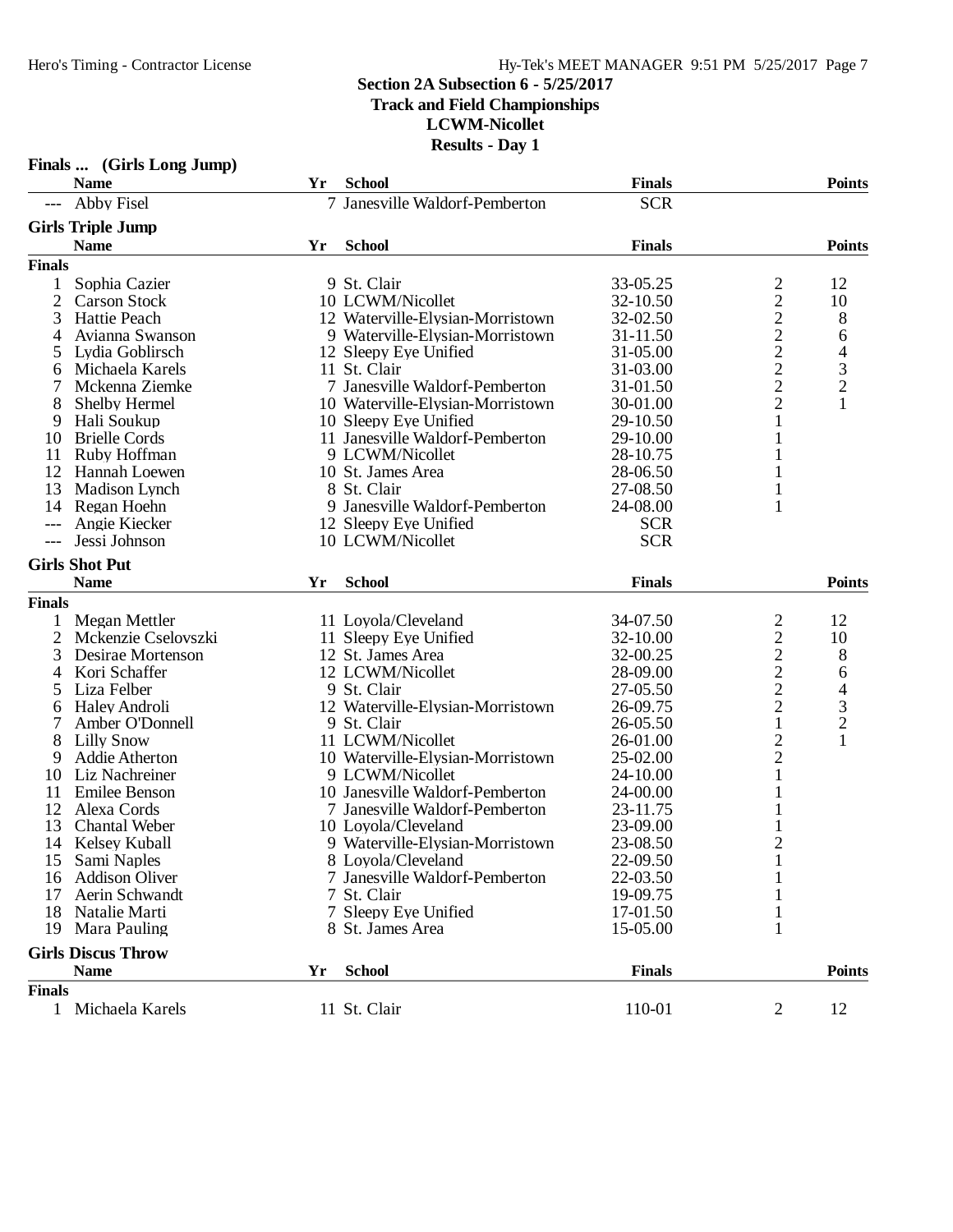### **Section 2A Subsection 6 - 5/25/2017 Track and Field Championships**

**LCWM-Nicollet**

|                | Finals  (Girls Long Jump)            |    |                                                        |                      |                                            |                                            |
|----------------|--------------------------------------|----|--------------------------------------------------------|----------------------|--------------------------------------------|--------------------------------------------|
|                | <b>Name</b>                          | Yr | <b>School</b>                                          | <b>Finals</b>        |                                            | <b>Points</b>                              |
| $---$          | <b>Abby Fisel</b>                    |    | 7 Janesville Waldorf-Pemberton                         | <b>SCR</b>           |                                            |                                            |
|                | <b>Girls Triple Jump</b>             |    |                                                        |                      |                                            |                                            |
|                | <b>Name</b>                          | Yr | <b>School</b>                                          | <b>Finals</b>        |                                            | <b>Points</b>                              |
| <b>Finals</b>  |                                      |    |                                                        |                      |                                            |                                            |
| 1              | Sophia Cazier                        |    | 9 St. Clair                                            | 33-05.25             |                                            | 12                                         |
| $\overline{2}$ | <b>Carson Stock</b>                  |    | 10 LCWM/Nicollet                                       | 32-10.50             | $\frac{2}{2}$                              | 10                                         |
| 3              | Hattie Peach                         |    | 12 Waterville-Elysian-Morristown                       | 32-02.50             |                                            | 8                                          |
| 4              | Avianna Swanson                      |    | 9 Waterville-Elysian-Morristown                        | 31-11.50             |                                            | 6                                          |
| 5              | Lydia Goblirsch                      |    | 12 Sleepy Eye Unified                                  | 31-05.00             | $\frac{2}{2}$ $\frac{2}{2}$ $\frac{2}{2}$  |                                            |
| 6              | Michaela Karels                      |    | 11 St. Clair                                           | 31-03.00             |                                            | $\begin{array}{c} 4 \\ 3 \\ 2 \end{array}$ |
|                | Mckenna Ziemke                       |    | 7 Janesville Waldorf-Pemberton                         | 31-01.50             |                                            |                                            |
| 8              | Shelby Hermel                        |    | 10 Waterville-Elysian-Morristown                       | 30-01.00             |                                            | $\mathbf{1}$                               |
| 9              | Hali Soukup                          |    | 10 Sleepy Eye Unified                                  | 29-10.50             | $\mathbf{1}$                               |                                            |
| 10             | <b>Brielle Cords</b>                 |    | 11 Janesville Waldorf-Pemberton                        | 29-10.00             | 1                                          |                                            |
| 11             | Ruby Hoffman                         |    | 9 LCWM/Nicollet                                        | 28-10.75             |                                            |                                            |
| 12             | Hannah Loewen                        |    | 10 St. James Area                                      | 28-06.50             | 1                                          |                                            |
| 13             | Madison Lynch                        |    | 8 St. Clair                                            | 27-08.50             | $\mathbf{1}$                               |                                            |
| 14             | Regan Hoehn                          |    | 9 Janesville Waldorf-Pemberton                         | 24-08.00             | $\mathbf{1}$                               |                                            |
| $---$          | Angie Kiecker                        |    | 12 Sleepy Eye Unified                                  | <b>SCR</b>           |                                            |                                            |
| $---$          | Jessi Johnson                        |    | 10 LCWM/Nicollet                                       | <b>SCR</b>           |                                            |                                            |
|                |                                      |    |                                                        |                      |                                            |                                            |
|                | <b>Girls Shot Put</b><br><b>Name</b> | Yr | <b>School</b>                                          | <b>Finals</b>        |                                            | <b>Points</b>                              |
|                |                                      |    |                                                        |                      |                                            |                                            |
| <b>Finals</b>  |                                      |    |                                                        |                      |                                            |                                            |
|                | Megan Mettler                        |    | 11 Loyola/Cleveland                                    | 34-07.50             | $\frac{2}{2}$                              | 12                                         |
| 2              | Mckenzie Cselovszki                  |    | 11 Sleepy Eye Unified                                  | 32-10.00             |                                            | 10                                         |
| 3              | Desirae Mortenson                    |    | 12 St. James Area                                      | 32-00.25             | $\begin{array}{c} 2 \\ 2 \\ 2 \end{array}$ | 8                                          |
| 4              | Kori Schaffer                        |    | 12 LCWM/Nicollet                                       | 28-09.00             |                                            | 6                                          |
| 5              | Liza Felber                          |    | 9 St. Clair                                            | 27-05.50             |                                            | $\begin{array}{c} 4 \\ 3 \\ 2 \end{array}$ |
| 6              | Haley Androli                        |    | 12 Waterville-Elysian-Morristown                       | 26-09.75             |                                            |                                            |
| 7              | Amber O'Donnell                      |    | 9 St. Clair                                            | 26-05.50             | $\mathbf{1}$                               | $\mathbf{1}$                               |
| 8              | <b>Lilly Snow</b>                    |    | 11 LCWM/Nicollet                                       | 26-01.00             | $\overline{c}$                             |                                            |
| 9              | <b>Addie Atherton</b>                |    | 10 Waterville-Elysian-Morristown<br>9 LCWM/Nicollet    | 25-02.00<br>24-10.00 | $\overline{c}$                             |                                            |
| 10             | Liz Nachreiner                       |    | 10 Janesville Waldorf-Pemberton                        |                      | $\mathbf{1}$                               |                                            |
| 11<br>12       | <b>Emilee Benson</b>                 |    |                                                        | 24-00.00<br>23-11.75 |                                            |                                            |
| 13             | Alexa Cords<br><b>Chantal Weber</b>  |    | 7 Janesville Waldorf-Pemberton                         | 23-09.00             |                                            |                                            |
| 14             | Kelsey Kuball                        |    | 10 Loyola/Cleveland<br>9 Waterville-Elysian-Morristown | 23-08.50             | 1<br>$\overline{2}$                        |                                            |
|                | Sami Naples                          |    | 8 Loyola/Cleveland                                     | 22-09.50             |                                            |                                            |
| 15<br>16       | <b>Addison Oliver</b>                |    | 7 Janesville Waldorf-Pemberton                         | 22-03.50             | $\mathbf{1}$                               |                                            |
| 17             |                                      |    |                                                        |                      |                                            |                                            |
| 18             | Aerin Schwandt<br>Natalie Marti      |    | 7 St. Clair<br>7 Sleepy Eye Unified                    | 19-09.75<br>17-01.50 |                                            |                                            |
| 19             | Mara Pauling                         |    | 8 St. James Area                                       | 15-05.00             | 1                                          |                                            |
|                |                                      |    |                                                        |                      |                                            |                                            |
|                | <b>Girls Discus Throw</b>            |    |                                                        |                      |                                            |                                            |
|                | <b>Name</b>                          | Yr | <b>School</b>                                          | <b>Finals</b>        |                                            | <b>Points</b>                              |
| <b>Finals</b>  |                                      |    |                                                        |                      |                                            |                                            |
|                | 1 Michaela Karels                    |    | 11 St. Clair                                           | 110-01               | $\overline{2}$                             | 12                                         |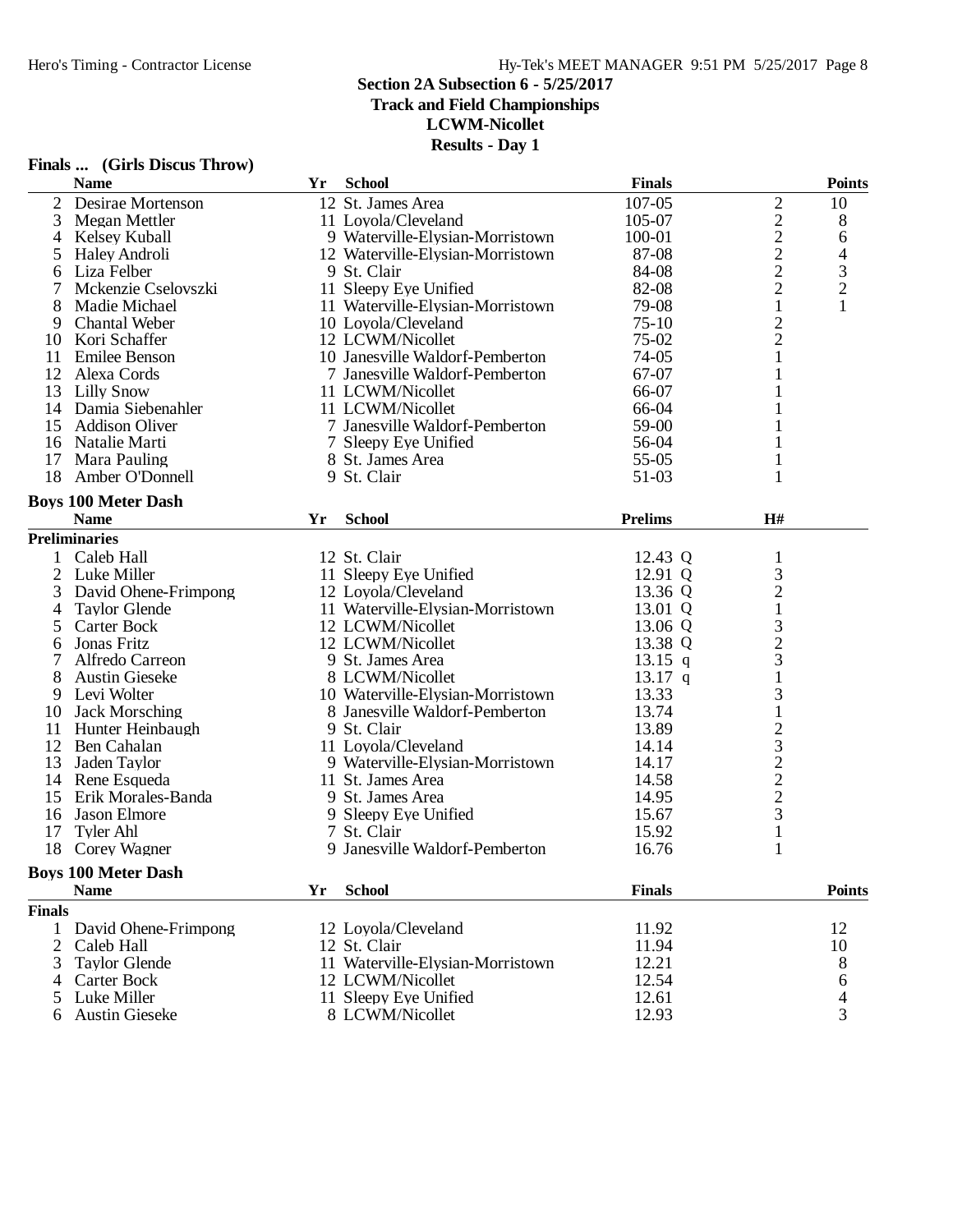**Finals ... (Girls Discus Throw)**

### **Section 2A Subsection 6 - 5/25/2017**

**Track and Field Championships**

**LCWM-Nicollet**

**Results - Day 1**

|                | <b>Name</b>                | Yr | <b>School</b>                    | <b>Finals</b>  |                                                | <b>Points</b>  |
|----------------|----------------------------|----|----------------------------------|----------------|------------------------------------------------|----------------|
| $\overline{2}$ | Desirae Mortenson          |    | 12 St. James Area                | 107-05         |                                                | 10             |
| 3              | Megan Mettler              |    | 11 Loyola/Cleveland              | 105-07         | $2222$<br>$222$                                | 8              |
| 4              | Kelsey Kuball              |    | 9 Waterville-Elysian-Morristown  | 100-01         |                                                | 6              |
| 5              | <b>Haley Androli</b>       |    | 12 Waterville-Elysian-Morristown | 87-08          |                                                |                |
| 6              | Liza Felber                |    | 9 St. Clair                      | 84-08          |                                                | $\frac{4}{3}$  |
|                | Mckenzie Cselovszki        |    | 11 Sleepy Eye Unified            | 82-08          |                                                |                |
| 8              | Madie Michael              |    | 11 Waterville-Elysian-Morristown | 79-08          | $\mathbf{1}$                                   | $\mathbf{1}$   |
| 9              | <b>Chantal Weber</b>       |    | 10 Loyola/Cleveland              | $75-10$        | $\overline{c}$                                 |                |
| 10             | Kori Schaffer              |    | 12 LCWM/Nicollet                 | $75-02$        | $\overline{c}$                                 |                |
| 11             | <b>Emilee Benson</b>       |    | 10 Janesville Waldorf-Pemberton  | 74-05          | 1                                              |                |
|                | 12 Alexa Cords             |    | 7 Janesville Waldorf-Pemberton   | 67-07          |                                                |                |
|                | 13 Lilly Snow              |    | 11 LCWM/Nicollet                 | 66-07          |                                                |                |
|                | 14 Damia Siebenahler       |    | 11 LCWM/Nicollet                 | 66-04          |                                                |                |
| 15             | <b>Addison Oliver</b>      |    | 7 Janesville Waldorf-Pemberton   | 59-00          |                                                |                |
|                | 16 Natalie Marti           |    | 7 Sleepy Eye Unified             | 56-04          |                                                |                |
| 17             | Mara Pauling               |    | 8 St. James Area                 | 55-05          |                                                |                |
| 18             | Amber O'Donnell            |    | 9 St. Clair                      | 51-03          | 1                                              |                |
|                |                            |    |                                  |                |                                                |                |
|                | <b>Boys 100 Meter Dash</b> |    |                                  |                |                                                |                |
|                | <b>Name</b>                | Yr | <b>School</b>                    | <b>Prelims</b> | H#                                             |                |
|                | <b>Preliminaries</b>       |    |                                  |                |                                                |                |
| 1              | Caleb Hall                 |    | 12 St. Clair                     | 12.43 Q        | $\mathbf{1}$                                   |                |
| 2              | Luke Miller                |    | 11 Sleepy Eye Unified            | 12.91 Q        | $\mathfrak{Z}$                                 |                |
| 3              | David Ohene-Frimpong       |    | 12 Loyola/Cleveland              | 13.36 Q        | $\frac{2}{1}$                                  |                |
| 4              | <b>Taylor Glende</b>       |    | 11 Waterville-Elysian-Morristown | 13.01 Q        |                                                |                |
| 5              | <b>Carter Bock</b>         |    | 12 LCWM/Nicollet                 | 13.06 Q        |                                                |                |
| 6              | Jonas Fritz                |    | 12 LCWM/Nicollet                 | 13.38 Q        | $\begin{array}{c} 3 \\ 2 \\ 3 \end{array}$     |                |
|                | Alfredo Carreon            |    | 9 St. James Area                 | $13.15$ q      |                                                |                |
| 8              | <b>Austin Gieseke</b>      |    | 8 LCWM/Nicollet                  | $13.17$ q      | $\mathbf 1$                                    |                |
|                | 9 Levi Wolter              |    | 10 Waterville-Elysian-Morristown | 13.33          | 3                                              |                |
| 10             | <b>Jack Morsching</b>      |    | 8 Janesville Waldorf-Pemberton   | 13.74          | $\mathbf{1}$                                   |                |
| 11             | Hunter Heinbaugh           |    | 9 St. Clair                      | 13.89          | $\begin{array}{c}\n23 \\ 22 \\ 2\n\end{array}$ |                |
| 12             | Ben Cahalan                |    | 11 Loyola/Cleveland              | 14.14          |                                                |                |
| 13             | Jaden Taylor               |    | 9 Waterville-Elysian-Morristown  | 14.17          |                                                |                |
|                | 14 Rene Esqueda            |    | 11 St. James Area                | 14.58          |                                                |                |
|                | 15 Erik Morales-Banda      |    | 9 St. James Area                 | 14.95          |                                                |                |
|                | 16 Jason Elmore            |    | 9 Sleepy Eye Unified             | 15.67          | 3                                              |                |
| 17             | <b>Tyler Ahl</b>           |    | 7 St. Clair                      | 15.92          | $\mathbf{1}$                                   |                |
|                | 18 Corey Wagner            |    | 9 Janesville Waldorf-Pemberton   | 16.76          | 1                                              |                |
|                | <b>Boys 100 Meter Dash</b> |    |                                  |                |                                                |                |
|                | <b>Name</b>                | Yr | <b>School</b>                    | <b>Finals</b>  |                                                | <b>Points</b>  |
|                |                            |    |                                  |                |                                                |                |
| <b>Finals</b>  |                            |    |                                  |                |                                                |                |
|                | 1 David Ohene-Frimpong     |    | 12 Loyola/Cleveland              | 11.92          |                                                | 12             |
| 2              | Caleb Hall                 |    | 12 St. Clair                     | 11.94          |                                                | 10             |
| 3              | <b>Taylor Glende</b>       |    | 11 Waterville-Elysian-Morristown | 12.21          |                                                | 8              |
| 4              | Carter Bock                |    | 12 LCWM/Nicollet                 | 12.54          |                                                | 6              |
| 5              | Luke Miller                |    | 11 Sleepy Eye Unified            | 12.61          |                                                | $\overline{4}$ |
|                | 6 Austin Gieseke           |    | 8 LCWM/Nicollet                  | 12.93          |                                                | 3              |

8 LCWM/Nicollet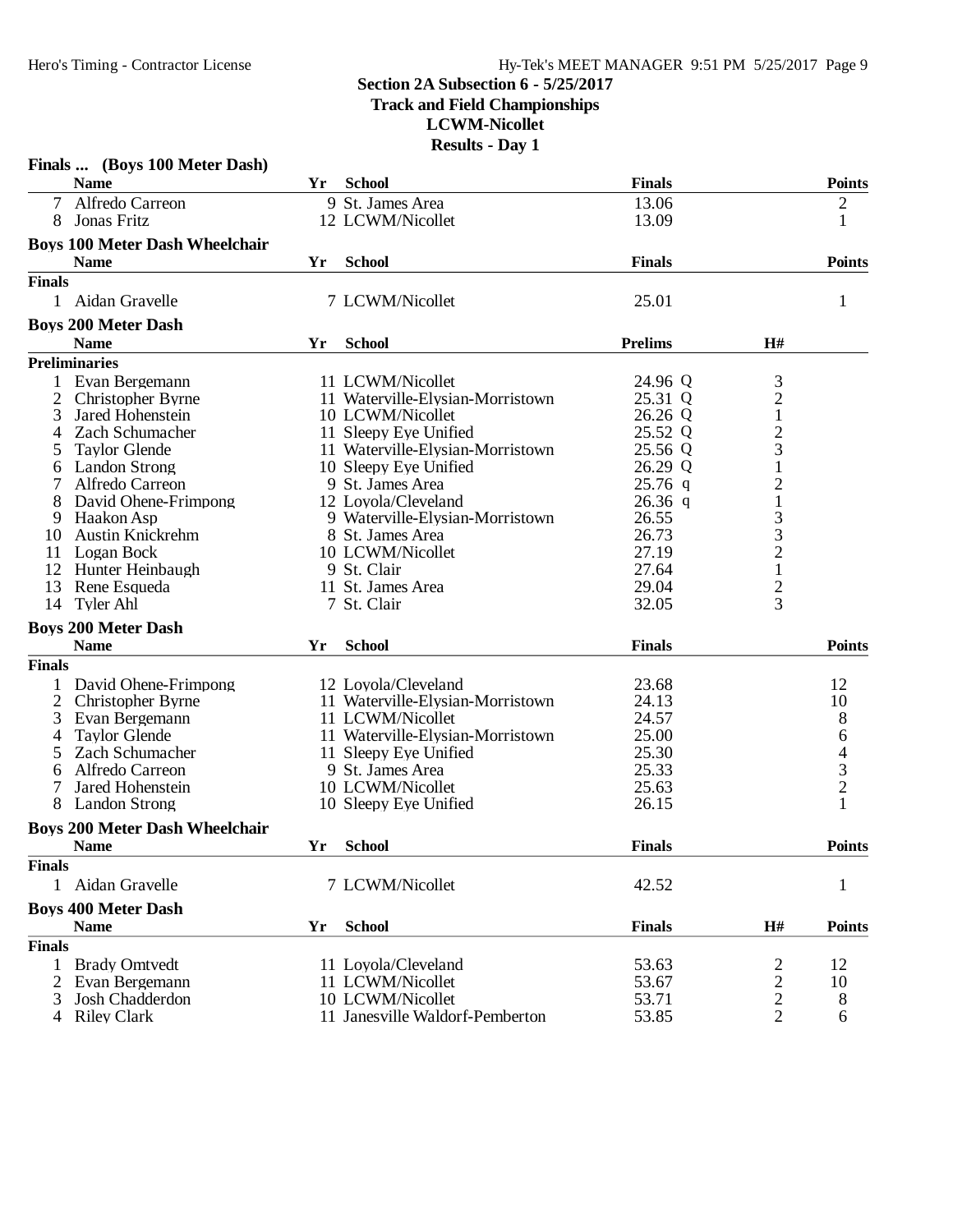**Track and Field Championships**

**LCWM-Nicollet**

| <b>Name</b><br>Yr<br><b>School</b><br><b>Finals</b><br>Alfredo Carreon<br>$\tau$<br>9 St. James Area<br>13.06<br>$\overline{c}$<br>$\mathbf{1}$<br>Jonas Fritz<br>12 LCWM/Nicollet<br>13.09<br>8<br><b>Boys 100 Meter Dash Wheelchair</b><br><b>Points</b><br><b>Name</b><br><b>School</b><br><b>Finals</b><br>Yr<br><b>Finals</b><br>7 LCWM/Nicollet<br>25.01<br>1 Aidan Gravelle<br>1<br><b>Boys 200 Meter Dash</b><br><b>Prelims</b><br>H#<br><b>Name</b><br><b>School</b><br>Yr<br><b>Preliminaries</b><br>3<br>1<br>Evan Bergemann<br>11 LCWM/Nicollet<br>24.96 Q<br>$\overline{c}$<br>25.31 Q<br>2<br>Christopher Byrne<br>11 Waterville-Elysian-Morristown<br>$\mathbf{1}$<br>3<br>Jared Hohenstein<br>10 LCWM/Nicollet<br>26.26 Q<br>$\overline{c}$<br>Zach Schumacher<br>11 Sleepy Eye Unified<br>25.52 Q<br>4<br>3<br><b>Taylor Glende</b><br>11 Waterville-Elysian-Morristown<br>25.56 Q<br>26.29 Q<br>$\mathbf{1}$<br><b>Landon Strong</b><br>10 Sleepy Eye Unified<br>6<br>$\overline{c}$<br>9 St. James Area<br>$25.76$ q<br>Alfredo Carreon<br>$\mathbf{1}$<br>12 Loyola/Cleveland<br>$26.36$ q<br>David Ohene-Frimpong<br>$\frac{3}{3}$<br>Haakon Asp<br>9 Waterville-Elysian-Morristown<br>26.55<br>9<br><b>Austin Knickrehm</b><br>8 St. James Area<br>26.73<br>10<br>$\frac{2}{1}$<br>10 LCWM/Nicollet<br>27.19<br>11<br>Logan Bock<br>12<br>27.64<br>Hunter Heinbaugh<br>9 St. Clair<br>$\overline{c}$<br>13<br>11 St. James Area<br>29.04<br>Rene Esqueda<br>3<br>7 St. Clair<br>32.05<br>14<br>Tyler Ahl<br><b>Boys 200 Meter Dash</b><br>Points<br><b>School</b><br><b>Finals</b><br><b>Name</b><br>Yr<br><b>Finals</b><br>David Ohene-Frimpong<br>12 Loyola/Cleveland<br>23.68<br>12<br>24.13<br>10<br>2<br>Christopher Byrne<br>11 Waterville-Elysian-Morristown<br>8<br>11 LCWM/Nicollet<br>24.57<br>3<br>Evan Bergemann<br>$64$<br>$3$<br>$2$<br><b>Taylor Glende</b><br>11 Waterville-Elysian-Morristown<br>25.00<br>4<br>25.30<br>Zach Schumacher<br>11 Sleepy Eye Unified<br>5<br>25.33<br>Alfredo Carreon<br>9 St. James Area<br>6<br>Jared Hohenstein<br>10 LCWM/Nicollet<br>25.63<br>$\mathbf{1}$<br>26.15<br>8<br><b>Landon Strong</b><br>10 Sleepy Eye Unified<br><b>Boys 200 Meter Dash Wheelchair</b><br><b>School</b><br><b>Name</b><br><b>Finals</b><br>Yr<br><b>Finals</b><br>Aidan Gravelle<br>7 LCWM/Nicollet<br>42.52<br>$\mathbf{1}$<br>1<br><b>Boys 400 Meter Dash</b><br>H#<br><b>Name</b><br>Yr<br><b>School</b><br><b>Finals</b><br><b>Finals</b><br><b>Brady Omtvedt</b><br>11 Loyola/Cleveland<br>53.63<br>1<br>2<br>12<br>$\overline{c}$<br>11 LCWM/Nicollet<br>2<br>Evan Bergemann<br>53.67<br>10<br>$\overline{c}$<br>Josh Chadderdon<br>10 LCWM/Nicollet<br>53.71<br>8<br>3 |   | Finals  (Boys 100 Meter Dash) |                                 |       |                |               |
|-----------------------------------------------------------------------------------------------------------------------------------------------------------------------------------------------------------------------------------------------------------------------------------------------------------------------------------------------------------------------------------------------------------------------------------------------------------------------------------------------------------------------------------------------------------------------------------------------------------------------------------------------------------------------------------------------------------------------------------------------------------------------------------------------------------------------------------------------------------------------------------------------------------------------------------------------------------------------------------------------------------------------------------------------------------------------------------------------------------------------------------------------------------------------------------------------------------------------------------------------------------------------------------------------------------------------------------------------------------------------------------------------------------------------------------------------------------------------------------------------------------------------------------------------------------------------------------------------------------------------------------------------------------------------------------------------------------------------------------------------------------------------------------------------------------------------------------------------------------------------------------------------------------------------------------------------------------------------------------------------------------------------------------------------------------------------------------------------------------------------------------------------------------------------------------------------------------------------------------------------------------------------------------------------------------------------------------------------------------------------------------------------------------------------------------------------------------------------------------------------------------------------------------------------------------------------------------------------------------------------------------------------------------------------------------------------------------------------------------|---|-------------------------------|---------------------------------|-------|----------------|---------------|
|                                                                                                                                                                                                                                                                                                                                                                                                                                                                                                                                                                                                                                                                                                                                                                                                                                                                                                                                                                                                                                                                                                                                                                                                                                                                                                                                                                                                                                                                                                                                                                                                                                                                                                                                                                                                                                                                                                                                                                                                                                                                                                                                                                                                                                                                                                                                                                                                                                                                                                                                                                                                                                                                                                                                   |   |                               |                                 |       |                | <b>Points</b> |
|                                                                                                                                                                                                                                                                                                                                                                                                                                                                                                                                                                                                                                                                                                                                                                                                                                                                                                                                                                                                                                                                                                                                                                                                                                                                                                                                                                                                                                                                                                                                                                                                                                                                                                                                                                                                                                                                                                                                                                                                                                                                                                                                                                                                                                                                                                                                                                                                                                                                                                                                                                                                                                                                                                                                   |   |                               |                                 |       |                |               |
|                                                                                                                                                                                                                                                                                                                                                                                                                                                                                                                                                                                                                                                                                                                                                                                                                                                                                                                                                                                                                                                                                                                                                                                                                                                                                                                                                                                                                                                                                                                                                                                                                                                                                                                                                                                                                                                                                                                                                                                                                                                                                                                                                                                                                                                                                                                                                                                                                                                                                                                                                                                                                                                                                                                                   |   |                               |                                 |       |                |               |
|                                                                                                                                                                                                                                                                                                                                                                                                                                                                                                                                                                                                                                                                                                                                                                                                                                                                                                                                                                                                                                                                                                                                                                                                                                                                                                                                                                                                                                                                                                                                                                                                                                                                                                                                                                                                                                                                                                                                                                                                                                                                                                                                                                                                                                                                                                                                                                                                                                                                                                                                                                                                                                                                                                                                   |   |                               |                                 |       |                |               |
|                                                                                                                                                                                                                                                                                                                                                                                                                                                                                                                                                                                                                                                                                                                                                                                                                                                                                                                                                                                                                                                                                                                                                                                                                                                                                                                                                                                                                                                                                                                                                                                                                                                                                                                                                                                                                                                                                                                                                                                                                                                                                                                                                                                                                                                                                                                                                                                                                                                                                                                                                                                                                                                                                                                                   |   |                               |                                 |       |                |               |
|                                                                                                                                                                                                                                                                                                                                                                                                                                                                                                                                                                                                                                                                                                                                                                                                                                                                                                                                                                                                                                                                                                                                                                                                                                                                                                                                                                                                                                                                                                                                                                                                                                                                                                                                                                                                                                                                                                                                                                                                                                                                                                                                                                                                                                                                                                                                                                                                                                                                                                                                                                                                                                                                                                                                   |   |                               |                                 |       |                |               |
|                                                                                                                                                                                                                                                                                                                                                                                                                                                                                                                                                                                                                                                                                                                                                                                                                                                                                                                                                                                                                                                                                                                                                                                                                                                                                                                                                                                                                                                                                                                                                                                                                                                                                                                                                                                                                                                                                                                                                                                                                                                                                                                                                                                                                                                                                                                                                                                                                                                                                                                                                                                                                                                                                                                                   |   |                               |                                 |       |                |               |
|                                                                                                                                                                                                                                                                                                                                                                                                                                                                                                                                                                                                                                                                                                                                                                                                                                                                                                                                                                                                                                                                                                                                                                                                                                                                                                                                                                                                                                                                                                                                                                                                                                                                                                                                                                                                                                                                                                                                                                                                                                                                                                                                                                                                                                                                                                                                                                                                                                                                                                                                                                                                                                                                                                                                   |   |                               |                                 |       |                |               |
|                                                                                                                                                                                                                                                                                                                                                                                                                                                                                                                                                                                                                                                                                                                                                                                                                                                                                                                                                                                                                                                                                                                                                                                                                                                                                                                                                                                                                                                                                                                                                                                                                                                                                                                                                                                                                                                                                                                                                                                                                                                                                                                                                                                                                                                                                                                                                                                                                                                                                                                                                                                                                                                                                                                                   |   |                               |                                 |       |                |               |
|                                                                                                                                                                                                                                                                                                                                                                                                                                                                                                                                                                                                                                                                                                                                                                                                                                                                                                                                                                                                                                                                                                                                                                                                                                                                                                                                                                                                                                                                                                                                                                                                                                                                                                                                                                                                                                                                                                                                                                                                                                                                                                                                                                                                                                                                                                                                                                                                                                                                                                                                                                                                                                                                                                                                   |   |                               |                                 |       |                |               |
|                                                                                                                                                                                                                                                                                                                                                                                                                                                                                                                                                                                                                                                                                                                                                                                                                                                                                                                                                                                                                                                                                                                                                                                                                                                                                                                                                                                                                                                                                                                                                                                                                                                                                                                                                                                                                                                                                                                                                                                                                                                                                                                                                                                                                                                                                                                                                                                                                                                                                                                                                                                                                                                                                                                                   |   |                               |                                 |       |                |               |
|                                                                                                                                                                                                                                                                                                                                                                                                                                                                                                                                                                                                                                                                                                                                                                                                                                                                                                                                                                                                                                                                                                                                                                                                                                                                                                                                                                                                                                                                                                                                                                                                                                                                                                                                                                                                                                                                                                                                                                                                                                                                                                                                                                                                                                                                                                                                                                                                                                                                                                                                                                                                                                                                                                                                   |   |                               |                                 |       |                |               |
|                                                                                                                                                                                                                                                                                                                                                                                                                                                                                                                                                                                                                                                                                                                                                                                                                                                                                                                                                                                                                                                                                                                                                                                                                                                                                                                                                                                                                                                                                                                                                                                                                                                                                                                                                                                                                                                                                                                                                                                                                                                                                                                                                                                                                                                                                                                                                                                                                                                                                                                                                                                                                                                                                                                                   |   |                               |                                 |       |                |               |
|                                                                                                                                                                                                                                                                                                                                                                                                                                                                                                                                                                                                                                                                                                                                                                                                                                                                                                                                                                                                                                                                                                                                                                                                                                                                                                                                                                                                                                                                                                                                                                                                                                                                                                                                                                                                                                                                                                                                                                                                                                                                                                                                                                                                                                                                                                                                                                                                                                                                                                                                                                                                                                                                                                                                   |   |                               |                                 |       |                |               |
|                                                                                                                                                                                                                                                                                                                                                                                                                                                                                                                                                                                                                                                                                                                                                                                                                                                                                                                                                                                                                                                                                                                                                                                                                                                                                                                                                                                                                                                                                                                                                                                                                                                                                                                                                                                                                                                                                                                                                                                                                                                                                                                                                                                                                                                                                                                                                                                                                                                                                                                                                                                                                                                                                                                                   |   |                               |                                 |       |                |               |
|                                                                                                                                                                                                                                                                                                                                                                                                                                                                                                                                                                                                                                                                                                                                                                                                                                                                                                                                                                                                                                                                                                                                                                                                                                                                                                                                                                                                                                                                                                                                                                                                                                                                                                                                                                                                                                                                                                                                                                                                                                                                                                                                                                                                                                                                                                                                                                                                                                                                                                                                                                                                                                                                                                                                   |   |                               |                                 |       |                |               |
|                                                                                                                                                                                                                                                                                                                                                                                                                                                                                                                                                                                                                                                                                                                                                                                                                                                                                                                                                                                                                                                                                                                                                                                                                                                                                                                                                                                                                                                                                                                                                                                                                                                                                                                                                                                                                                                                                                                                                                                                                                                                                                                                                                                                                                                                                                                                                                                                                                                                                                                                                                                                                                                                                                                                   |   |                               |                                 |       |                |               |
|                                                                                                                                                                                                                                                                                                                                                                                                                                                                                                                                                                                                                                                                                                                                                                                                                                                                                                                                                                                                                                                                                                                                                                                                                                                                                                                                                                                                                                                                                                                                                                                                                                                                                                                                                                                                                                                                                                                                                                                                                                                                                                                                                                                                                                                                                                                                                                                                                                                                                                                                                                                                                                                                                                                                   |   |                               |                                 |       |                |               |
|                                                                                                                                                                                                                                                                                                                                                                                                                                                                                                                                                                                                                                                                                                                                                                                                                                                                                                                                                                                                                                                                                                                                                                                                                                                                                                                                                                                                                                                                                                                                                                                                                                                                                                                                                                                                                                                                                                                                                                                                                                                                                                                                                                                                                                                                                                                                                                                                                                                                                                                                                                                                                                                                                                                                   |   |                               |                                 |       |                |               |
|                                                                                                                                                                                                                                                                                                                                                                                                                                                                                                                                                                                                                                                                                                                                                                                                                                                                                                                                                                                                                                                                                                                                                                                                                                                                                                                                                                                                                                                                                                                                                                                                                                                                                                                                                                                                                                                                                                                                                                                                                                                                                                                                                                                                                                                                                                                                                                                                                                                                                                                                                                                                                                                                                                                                   |   |                               |                                 |       |                |               |
|                                                                                                                                                                                                                                                                                                                                                                                                                                                                                                                                                                                                                                                                                                                                                                                                                                                                                                                                                                                                                                                                                                                                                                                                                                                                                                                                                                                                                                                                                                                                                                                                                                                                                                                                                                                                                                                                                                                                                                                                                                                                                                                                                                                                                                                                                                                                                                                                                                                                                                                                                                                                                                                                                                                                   |   |                               |                                 |       |                |               |
|                                                                                                                                                                                                                                                                                                                                                                                                                                                                                                                                                                                                                                                                                                                                                                                                                                                                                                                                                                                                                                                                                                                                                                                                                                                                                                                                                                                                                                                                                                                                                                                                                                                                                                                                                                                                                                                                                                                                                                                                                                                                                                                                                                                                                                                                                                                                                                                                                                                                                                                                                                                                                                                                                                                                   |   |                               |                                 |       |                |               |
|                                                                                                                                                                                                                                                                                                                                                                                                                                                                                                                                                                                                                                                                                                                                                                                                                                                                                                                                                                                                                                                                                                                                                                                                                                                                                                                                                                                                                                                                                                                                                                                                                                                                                                                                                                                                                                                                                                                                                                                                                                                                                                                                                                                                                                                                                                                                                                                                                                                                                                                                                                                                                                                                                                                                   |   |                               |                                 |       |                |               |
|                                                                                                                                                                                                                                                                                                                                                                                                                                                                                                                                                                                                                                                                                                                                                                                                                                                                                                                                                                                                                                                                                                                                                                                                                                                                                                                                                                                                                                                                                                                                                                                                                                                                                                                                                                                                                                                                                                                                                                                                                                                                                                                                                                                                                                                                                                                                                                                                                                                                                                                                                                                                                                                                                                                                   |   |                               |                                 |       |                |               |
|                                                                                                                                                                                                                                                                                                                                                                                                                                                                                                                                                                                                                                                                                                                                                                                                                                                                                                                                                                                                                                                                                                                                                                                                                                                                                                                                                                                                                                                                                                                                                                                                                                                                                                                                                                                                                                                                                                                                                                                                                                                                                                                                                                                                                                                                                                                                                                                                                                                                                                                                                                                                                                                                                                                                   |   |                               |                                 |       |                |               |
|                                                                                                                                                                                                                                                                                                                                                                                                                                                                                                                                                                                                                                                                                                                                                                                                                                                                                                                                                                                                                                                                                                                                                                                                                                                                                                                                                                                                                                                                                                                                                                                                                                                                                                                                                                                                                                                                                                                                                                                                                                                                                                                                                                                                                                                                                                                                                                                                                                                                                                                                                                                                                                                                                                                                   |   |                               |                                 |       |                |               |
|                                                                                                                                                                                                                                                                                                                                                                                                                                                                                                                                                                                                                                                                                                                                                                                                                                                                                                                                                                                                                                                                                                                                                                                                                                                                                                                                                                                                                                                                                                                                                                                                                                                                                                                                                                                                                                                                                                                                                                                                                                                                                                                                                                                                                                                                                                                                                                                                                                                                                                                                                                                                                                                                                                                                   |   |                               |                                 |       |                |               |
|                                                                                                                                                                                                                                                                                                                                                                                                                                                                                                                                                                                                                                                                                                                                                                                                                                                                                                                                                                                                                                                                                                                                                                                                                                                                                                                                                                                                                                                                                                                                                                                                                                                                                                                                                                                                                                                                                                                                                                                                                                                                                                                                                                                                                                                                                                                                                                                                                                                                                                                                                                                                                                                                                                                                   |   |                               |                                 |       |                |               |
|                                                                                                                                                                                                                                                                                                                                                                                                                                                                                                                                                                                                                                                                                                                                                                                                                                                                                                                                                                                                                                                                                                                                                                                                                                                                                                                                                                                                                                                                                                                                                                                                                                                                                                                                                                                                                                                                                                                                                                                                                                                                                                                                                                                                                                                                                                                                                                                                                                                                                                                                                                                                                                                                                                                                   |   |                               |                                 |       |                |               |
|                                                                                                                                                                                                                                                                                                                                                                                                                                                                                                                                                                                                                                                                                                                                                                                                                                                                                                                                                                                                                                                                                                                                                                                                                                                                                                                                                                                                                                                                                                                                                                                                                                                                                                                                                                                                                                                                                                                                                                                                                                                                                                                                                                                                                                                                                                                                                                                                                                                                                                                                                                                                                                                                                                                                   |   |                               |                                 |       |                |               |
|                                                                                                                                                                                                                                                                                                                                                                                                                                                                                                                                                                                                                                                                                                                                                                                                                                                                                                                                                                                                                                                                                                                                                                                                                                                                                                                                                                                                                                                                                                                                                                                                                                                                                                                                                                                                                                                                                                                                                                                                                                                                                                                                                                                                                                                                                                                                                                                                                                                                                                                                                                                                                                                                                                                                   |   |                               |                                 |       |                |               |
|                                                                                                                                                                                                                                                                                                                                                                                                                                                                                                                                                                                                                                                                                                                                                                                                                                                                                                                                                                                                                                                                                                                                                                                                                                                                                                                                                                                                                                                                                                                                                                                                                                                                                                                                                                                                                                                                                                                                                                                                                                                                                                                                                                                                                                                                                                                                                                                                                                                                                                                                                                                                                                                                                                                                   |   |                               |                                 |       |                |               |
|                                                                                                                                                                                                                                                                                                                                                                                                                                                                                                                                                                                                                                                                                                                                                                                                                                                                                                                                                                                                                                                                                                                                                                                                                                                                                                                                                                                                                                                                                                                                                                                                                                                                                                                                                                                                                                                                                                                                                                                                                                                                                                                                                                                                                                                                                                                                                                                                                                                                                                                                                                                                                                                                                                                                   |   |                               |                                 |       |                |               |
|                                                                                                                                                                                                                                                                                                                                                                                                                                                                                                                                                                                                                                                                                                                                                                                                                                                                                                                                                                                                                                                                                                                                                                                                                                                                                                                                                                                                                                                                                                                                                                                                                                                                                                                                                                                                                                                                                                                                                                                                                                                                                                                                                                                                                                                                                                                                                                                                                                                                                                                                                                                                                                                                                                                                   |   |                               |                                 |       |                |               |
|                                                                                                                                                                                                                                                                                                                                                                                                                                                                                                                                                                                                                                                                                                                                                                                                                                                                                                                                                                                                                                                                                                                                                                                                                                                                                                                                                                                                                                                                                                                                                                                                                                                                                                                                                                                                                                                                                                                                                                                                                                                                                                                                                                                                                                                                                                                                                                                                                                                                                                                                                                                                                                                                                                                                   |   |                               |                                 |       |                |               |
|                                                                                                                                                                                                                                                                                                                                                                                                                                                                                                                                                                                                                                                                                                                                                                                                                                                                                                                                                                                                                                                                                                                                                                                                                                                                                                                                                                                                                                                                                                                                                                                                                                                                                                                                                                                                                                                                                                                                                                                                                                                                                                                                                                                                                                                                                                                                                                                                                                                                                                                                                                                                                                                                                                                                   |   |                               |                                 |       |                |               |
|                                                                                                                                                                                                                                                                                                                                                                                                                                                                                                                                                                                                                                                                                                                                                                                                                                                                                                                                                                                                                                                                                                                                                                                                                                                                                                                                                                                                                                                                                                                                                                                                                                                                                                                                                                                                                                                                                                                                                                                                                                                                                                                                                                                                                                                                                                                                                                                                                                                                                                                                                                                                                                                                                                                                   |   |                               |                                 |       |                |               |
|                                                                                                                                                                                                                                                                                                                                                                                                                                                                                                                                                                                                                                                                                                                                                                                                                                                                                                                                                                                                                                                                                                                                                                                                                                                                                                                                                                                                                                                                                                                                                                                                                                                                                                                                                                                                                                                                                                                                                                                                                                                                                                                                                                                                                                                                                                                                                                                                                                                                                                                                                                                                                                                                                                                                   |   |                               |                                 |       |                | <b>Points</b> |
|                                                                                                                                                                                                                                                                                                                                                                                                                                                                                                                                                                                                                                                                                                                                                                                                                                                                                                                                                                                                                                                                                                                                                                                                                                                                                                                                                                                                                                                                                                                                                                                                                                                                                                                                                                                                                                                                                                                                                                                                                                                                                                                                                                                                                                                                                                                                                                                                                                                                                                                                                                                                                                                                                                                                   |   |                               |                                 |       |                |               |
|                                                                                                                                                                                                                                                                                                                                                                                                                                                                                                                                                                                                                                                                                                                                                                                                                                                                                                                                                                                                                                                                                                                                                                                                                                                                                                                                                                                                                                                                                                                                                                                                                                                                                                                                                                                                                                                                                                                                                                                                                                                                                                                                                                                                                                                                                                                                                                                                                                                                                                                                                                                                                                                                                                                                   |   |                               |                                 |       |                |               |
|                                                                                                                                                                                                                                                                                                                                                                                                                                                                                                                                                                                                                                                                                                                                                                                                                                                                                                                                                                                                                                                                                                                                                                                                                                                                                                                                                                                                                                                                                                                                                                                                                                                                                                                                                                                                                                                                                                                                                                                                                                                                                                                                                                                                                                                                                                                                                                                                                                                                                                                                                                                                                                                                                                                                   |   |                               |                                 |       |                |               |
|                                                                                                                                                                                                                                                                                                                                                                                                                                                                                                                                                                                                                                                                                                                                                                                                                                                                                                                                                                                                                                                                                                                                                                                                                                                                                                                                                                                                                                                                                                                                                                                                                                                                                                                                                                                                                                                                                                                                                                                                                                                                                                                                                                                                                                                                                                                                                                                                                                                                                                                                                                                                                                                                                                                                   |   |                               |                                 |       |                | <b>Points</b> |
|                                                                                                                                                                                                                                                                                                                                                                                                                                                                                                                                                                                                                                                                                                                                                                                                                                                                                                                                                                                                                                                                                                                                                                                                                                                                                                                                                                                                                                                                                                                                                                                                                                                                                                                                                                                                                                                                                                                                                                                                                                                                                                                                                                                                                                                                                                                                                                                                                                                                                                                                                                                                                                                                                                                                   |   |                               |                                 |       |                |               |
|                                                                                                                                                                                                                                                                                                                                                                                                                                                                                                                                                                                                                                                                                                                                                                                                                                                                                                                                                                                                                                                                                                                                                                                                                                                                                                                                                                                                                                                                                                                                                                                                                                                                                                                                                                                                                                                                                                                                                                                                                                                                                                                                                                                                                                                                                                                                                                                                                                                                                                                                                                                                                                                                                                                                   |   |                               |                                 |       |                |               |
|                                                                                                                                                                                                                                                                                                                                                                                                                                                                                                                                                                                                                                                                                                                                                                                                                                                                                                                                                                                                                                                                                                                                                                                                                                                                                                                                                                                                                                                                                                                                                                                                                                                                                                                                                                                                                                                                                                                                                                                                                                                                                                                                                                                                                                                                                                                                                                                                                                                                                                                                                                                                                                                                                                                                   |   |                               |                                 |       |                |               |
|                                                                                                                                                                                                                                                                                                                                                                                                                                                                                                                                                                                                                                                                                                                                                                                                                                                                                                                                                                                                                                                                                                                                                                                                                                                                                                                                                                                                                                                                                                                                                                                                                                                                                                                                                                                                                                                                                                                                                                                                                                                                                                                                                                                                                                                                                                                                                                                                                                                                                                                                                                                                                                                                                                                                   |   |                               |                                 |       |                |               |
|                                                                                                                                                                                                                                                                                                                                                                                                                                                                                                                                                                                                                                                                                                                                                                                                                                                                                                                                                                                                                                                                                                                                                                                                                                                                                                                                                                                                                                                                                                                                                                                                                                                                                                                                                                                                                                                                                                                                                                                                                                                                                                                                                                                                                                                                                                                                                                                                                                                                                                                                                                                                                                                                                                                                   | 4 | <b>Riley Clark</b>            | 11 Janesville Waldorf-Pemberton | 53.85 | $\overline{2}$ | 6             |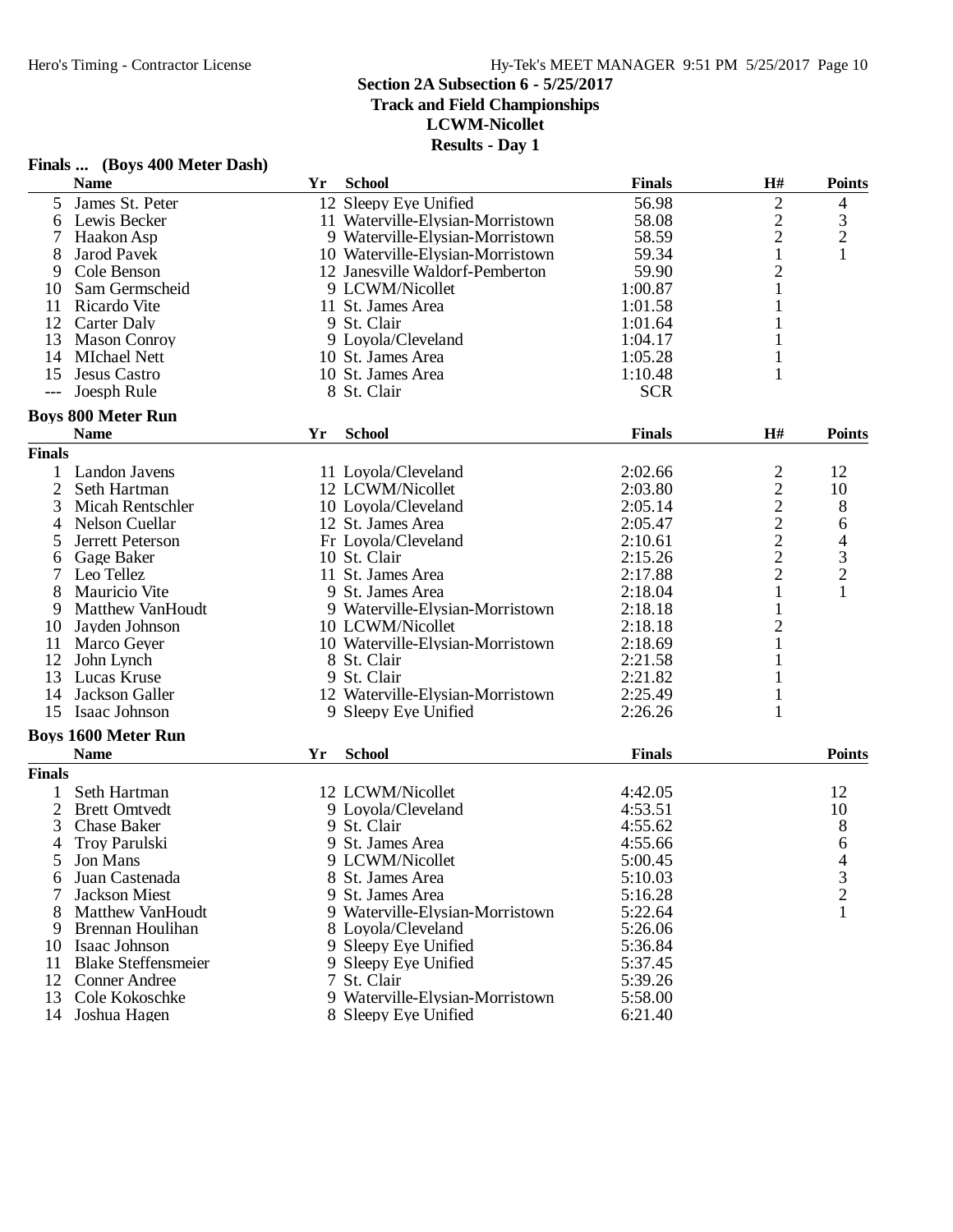**Track and Field Championships**

**LCWM-Nicollet**

**Results - Day 1**

|                | <b>Name</b>                              | Yr | <b>School</b>                    | <b>Finals</b> | H#                      | <b>Points</b>                                   |
|----------------|------------------------------------------|----|----------------------------------|---------------|-------------------------|-------------------------------------------------|
| 5              | James St. Peter                          |    | 12 Sleepy Eye Unified            | 56.98         | $\overline{2}$          | 4                                               |
| 6              | Lewis Becker                             |    | 11 Waterville-Elysian-Morristown | 58.08         | $\overline{c}$          |                                                 |
|                | Haakon Asp                               |    | 9 Waterville-Elysian-Morristown  | 58.59         | $\overline{c}$          | $\begin{array}{c} 3 \\ 2 \\ 1 \end{array}$      |
| 8              | Jarod Pavek                              |    | 10 Waterville-Elysian-Morristown | 59.34         | $\,1$                   |                                                 |
| 9              | Cole Benson                              |    | 12 Janesville Waldorf-Pemberton  | 59.90         | $\overline{c}$          |                                                 |
| 10             | Sam Germscheid                           |    | 9 LCWM/Nicollet                  | 1:00.87       | 1                       |                                                 |
| 11             | Ricardo Vite                             |    | 11 St. James Area                | 1:01.58       |                         |                                                 |
| 12             | Carter Daly                              |    | 9 St. Clair                      | 1:01.64       |                         |                                                 |
| 13             | <b>Mason Conroy</b>                      |    | 9 Loyola/Cleveland               | 1:04.17       | 1                       |                                                 |
| 14             | <b>MIchael Nett</b>                      |    | 10 St. James Area                | 1:05.28       | 1                       |                                                 |
| 15             | <b>Jesus Castro</b>                      |    | 10 St. James Area                | 1:10.48       | $\mathbf{1}$            |                                                 |
| $---$          | Joesph Rule                              |    | 8 St. Clair                      | <b>SCR</b>    |                         |                                                 |
|                |                                          |    |                                  |               |                         |                                                 |
|                | <b>Boys 800 Meter Run</b><br><b>Name</b> | Yr | <b>School</b>                    | <b>Finals</b> | H#                      | <b>Points</b>                                   |
| <b>Finals</b>  |                                          |    |                                  |               |                         |                                                 |
|                |                                          |    |                                  |               |                         |                                                 |
|                | Landon Javens                            |    | 11 Loyola/Cleveland              | 2:02.66       |                         | 12                                              |
| $\overline{c}$ | Seth Hartman                             |    | 12 LCWM/Nicollet                 | 2:03.80       |                         | 10                                              |
| 3              | Micah Rentschler                         |    | 10 Loyola/Cleveland              | 2:05.14       | 2 2 2 2 2 2 2           | 8                                               |
| 4              | Nelson Cuellar                           |    | 12 St. James Area                | 2:05.47       |                         | 6                                               |
| 5              | Jerrett Peterson                         |    | Fr Loyola/Cleveland              | 2:10.61       |                         |                                                 |
| 6              | Gage Baker                               |    | 10 St. Clair                     | 2:15.26       |                         | $\begin{array}{c} 4 \\ 3 \\ 2 \\ 1 \end{array}$ |
|                | Leo Tellez                               |    | 11 St. James Area                | 2:17.88       |                         |                                                 |
| 8              | Mauricio Vite                            |    | 9 St. James Area                 | 2:18.04       | $\mathbf{1}$            |                                                 |
| 9              | <b>Matthew VanHoudt</b>                  |    | 9 Waterville-Elysian-Morristown  | 2:18.18       | $\mathbf{1}$            |                                                 |
| 10             | Jayden Johnson                           |    | 10 LCWM/Nicollet                 | 2:18.18       | $\overline{\mathbf{c}}$ |                                                 |
| 11             | Marco Geyer                              |    | 10 Waterville-Elysian-Morristown | 2:18.69       | 1                       |                                                 |
| 12             | John Lynch                               |    | 8 St. Clair                      | 2:21.58       |                         |                                                 |
| 13             | Lucas Kruse                              |    | 9 St. Clair                      | 2:21.82       |                         |                                                 |
| 14             | Jackson Galler                           |    | 12 Waterville-Elysian-Morristown | 2:25.49       | 1                       |                                                 |
| 15             | Isaac Johnson                            |    | 9 Sleepy Eye Unified             | 2:26.26       | $\mathbf{1}$            |                                                 |
|                | <b>Boys 1600 Meter Run</b>               |    |                                  |               |                         |                                                 |
|                | <b>Name</b>                              | Yr | <b>School</b>                    | <b>Finals</b> |                         | Points                                          |
| <b>Finals</b>  |                                          |    |                                  |               |                         |                                                 |
| $\mathbf{1}$   | Seth Hartman                             |    | 12 LCWM/Nicollet                 | 4:42.05       |                         | 12                                              |
| 2              | <b>Brett Omtvedt</b>                     |    | 9 Loyola/Cleveland               | 4:53.51       |                         | 10                                              |
| 3              | <b>Chase Baker</b>                       |    | 9 St. Clair                      | 4:55.62       |                         | 8                                               |
| 4              | Troy Parulski                            |    | 9 St. James Area                 | 4:55.66       |                         | 6                                               |
| 5              | Jon Mans                                 |    | 9 LCWM/Nicollet                  | 5:00.45       |                         | 4                                               |
| 6              | Juan Castenada                           |    | 8 St. James Area                 | 5:10.03       |                         | 3                                               |
| 7              | <b>Jackson Miest</b>                     |    | 9 St. James Area                 | 5:16.28       |                         | $\overline{c}$                                  |
| 8              | Matthew VanHoudt                         |    | 9 Waterville-Elysian-Morristown  | 5:22.64       |                         | 1                                               |
| 9              | Brennan Houlihan                         |    | 8 Loyola/Cleveland               | 5:26.06       |                         |                                                 |
| 10             | Isaac Johnson                            |    | 9 Sleepy Eye Unified             | 5:36.84       |                         |                                                 |
| 11             | <b>Blake Steffensmeier</b>               |    | 9 Sleepy Eye Unified             | 5:37.45       |                         |                                                 |
| 12             | <b>Conner Andree</b>                     |    | 7 St. Clair                      | 5:39.26       |                         |                                                 |
| 13             | Cole Kokoschke                           |    | 9 Waterville-Elysian-Morristown  | 5:58.00       |                         |                                                 |
| 14             | Joshua Hagen                             |    | 8 Sleepy Eye Unified             | 6:21.40       |                         |                                                 |
|                |                                          |    |                                  |               |                         |                                                 |

## **Finals ... (Boys 400 Meter Dash)**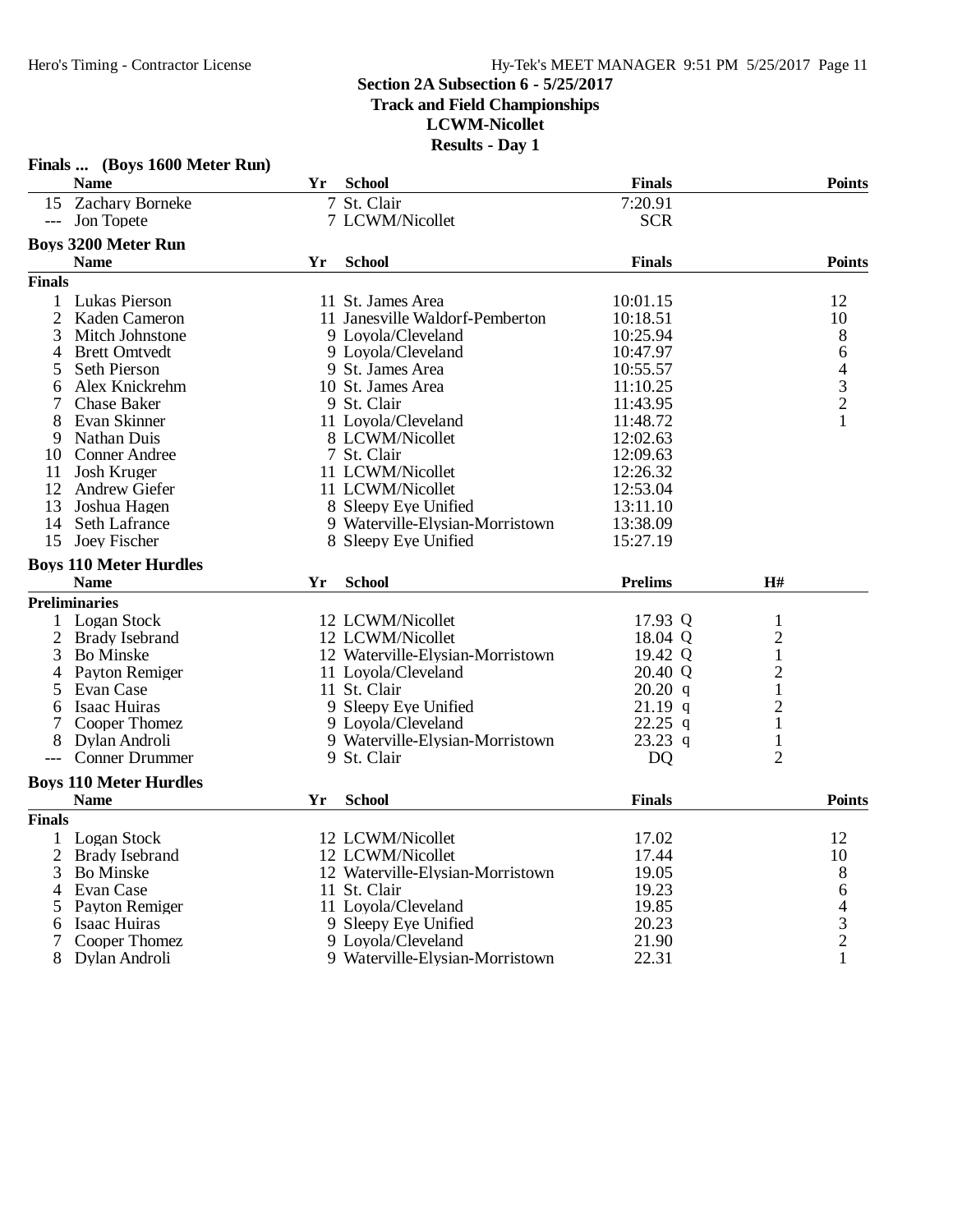### **Section 2A Subsection 6 - 5/25/2017 Track and Field Championships**

**LCWM-Nicollet**

|               | Finals  (Boys 1600 Meter Run) |    |                                  |                |                |                                            |
|---------------|-------------------------------|----|----------------------------------|----------------|----------------|--------------------------------------------|
|               | <b>Name</b>                   | Yr | <b>School</b>                    | <b>Finals</b>  |                | <b>Points</b>                              |
|               | 15 Zachary Borneke            |    | 7 St. Clair                      | 7:20.91        |                |                                            |
| $---$         | Jon Topete                    |    | 7 LCWM/Nicollet                  | <b>SCR</b>     |                |                                            |
|               | <b>Boys 3200 Meter Run</b>    |    |                                  |                |                |                                            |
|               | <b>Name</b>                   | Yr | <b>School</b>                    | <b>Finals</b>  |                | <b>Points</b>                              |
| <b>Finals</b> |                               |    |                                  |                |                |                                            |
| 1             | Lukas Pierson                 |    | 11 St. James Area                | 10:01.15       |                | 12                                         |
| 2             | Kaden Cameron                 |    | 11 Janesville Waldorf-Pemberton  | 10:18.51       |                | 10                                         |
| 3             | Mitch Johnstone               |    | 9 Loyola/Cleveland               | 10:25.94       |                | 8                                          |
| 4             | <b>Brett Omtvedt</b>          |    | 9 Loyola/Cleveland               | 10:47.97       |                | 6                                          |
| 5             | Seth Pierson                  |    | 9 St. James Area                 | 10:55.57       |                |                                            |
| 6             | Alex Knickrehm                |    | 10 St. James Area                | 11:10.25       |                | $\begin{array}{c} 4 \\ 3 \\ 2 \end{array}$ |
| 7             | <b>Chase Baker</b>            |    | 9 St. Clair                      | 11:43.95       |                |                                            |
| 8             | Evan Skinner                  |    | 11 Loyola/Cleveland              | 11:48.72       |                | 1                                          |
| 9             | Nathan Duis                   |    | 8 LCWM/Nicollet                  | 12:02.63       |                |                                            |
| 10            | <b>Conner Andree</b>          |    | 7 St. Clair                      | 12:09.63       |                |                                            |
| 11            | Josh Kruger                   |    | 11 LCWM/Nicollet                 | 12:26.32       |                |                                            |
| 12            | <b>Andrew Giefer</b>          |    | 11 LCWM/Nicollet                 | 12:53.04       |                |                                            |
| 13            | Joshua Hagen                  |    | 8 Sleepy Eye Unified             | 13:11.10       |                |                                            |
| 14            | Seth Lafrance                 |    | 9 Waterville-Elysian-Morristown  | 13:38.09       |                |                                            |
| 15            | Joey Fischer                  |    | 8 Sleepy Eye Unified             | 15:27.19       |                |                                            |
|               | <b>Boys 110 Meter Hurdles</b> |    |                                  |                |                |                                            |
|               | <b>Name</b>                   | Yr | <b>School</b>                    | <b>Prelims</b> | H#             |                                            |
|               | <b>Preliminaries</b>          |    |                                  |                |                |                                            |
| 1             | Logan Stock                   |    | 12 LCWM/Nicollet                 | 17.93 Q        | $\mathbf{1}$   |                                            |
| 2             | Brady Isebrand                |    | 12 LCWM/Nicollet                 | 18.04 Q        | $\overline{c}$ |                                            |
| 3             | <b>Bo Minske</b>              |    | 12 Waterville-Elysian-Morristown | 19.42 Q        | $\mathbf{1}$   |                                            |
| 4             | Payton Remiger                |    | 11 Loyola/Cleveland              | 20.40 Q        | $\overline{c}$ |                                            |
| 5             | Evan Case                     |    | 11 St. Clair                     | 20.20 q        | 1              |                                            |
| 6             | Isaac Huiras                  |    | 9 Sleepy Eye Unified             | $21.19$ q      | $\overline{c}$ |                                            |
| 7             | Cooper Thomez                 |    | 9 Loyola/Cleveland               | $22.25$ q      | $\mathbf{1}$   |                                            |
| 8             | Dylan Androli                 |    | 9 Waterville-Elysian-Morristown  | $23.23$ q      | $\mathbf{1}$   |                                            |
| $---$         | <b>Conner Drummer</b>         |    | 9 St. Clair                      | <b>DQ</b>      | $\overline{2}$ |                                            |
|               | <b>Boys 110 Meter Hurdles</b> |    |                                  |                |                |                                            |
|               | <b>Name</b>                   | Yr | <b>School</b>                    | <b>Finals</b>  |                | <b>Points</b>                              |
| <b>Finals</b> |                               |    |                                  |                |                |                                            |
| 1             | Logan Stock                   |    | 12 LCWM/Nicollet                 | 17.02          |                | 12                                         |
| 2             | Brady Isebrand                |    | 12 LCWM/Nicollet                 | 17.44          |                | 10                                         |
| 3             | <b>Bo</b> Minske              |    | 12 Waterville-Elysian-Morristown | 19.05          |                | $8\,$                                      |
| 4             | Evan Case                     |    | 11 St. Clair                     | 19.23          |                |                                            |
| 5             | Payton Remiger                |    | 11 Loyola/Cleveland              | 19.85          |                | $64$<br>3<br>2                             |
| 6             | Isaac Huiras                  |    | 9 Sleepy Eye Unified             | 20.23          |                |                                            |
| 7             | Cooper Thomez                 |    | 9 Loyola/Cleveland               | 21.90          |                |                                            |
| 8             | Dylan Androli                 |    | 9 Waterville-Elysian-Morristown  | 22.31          |                | 1                                          |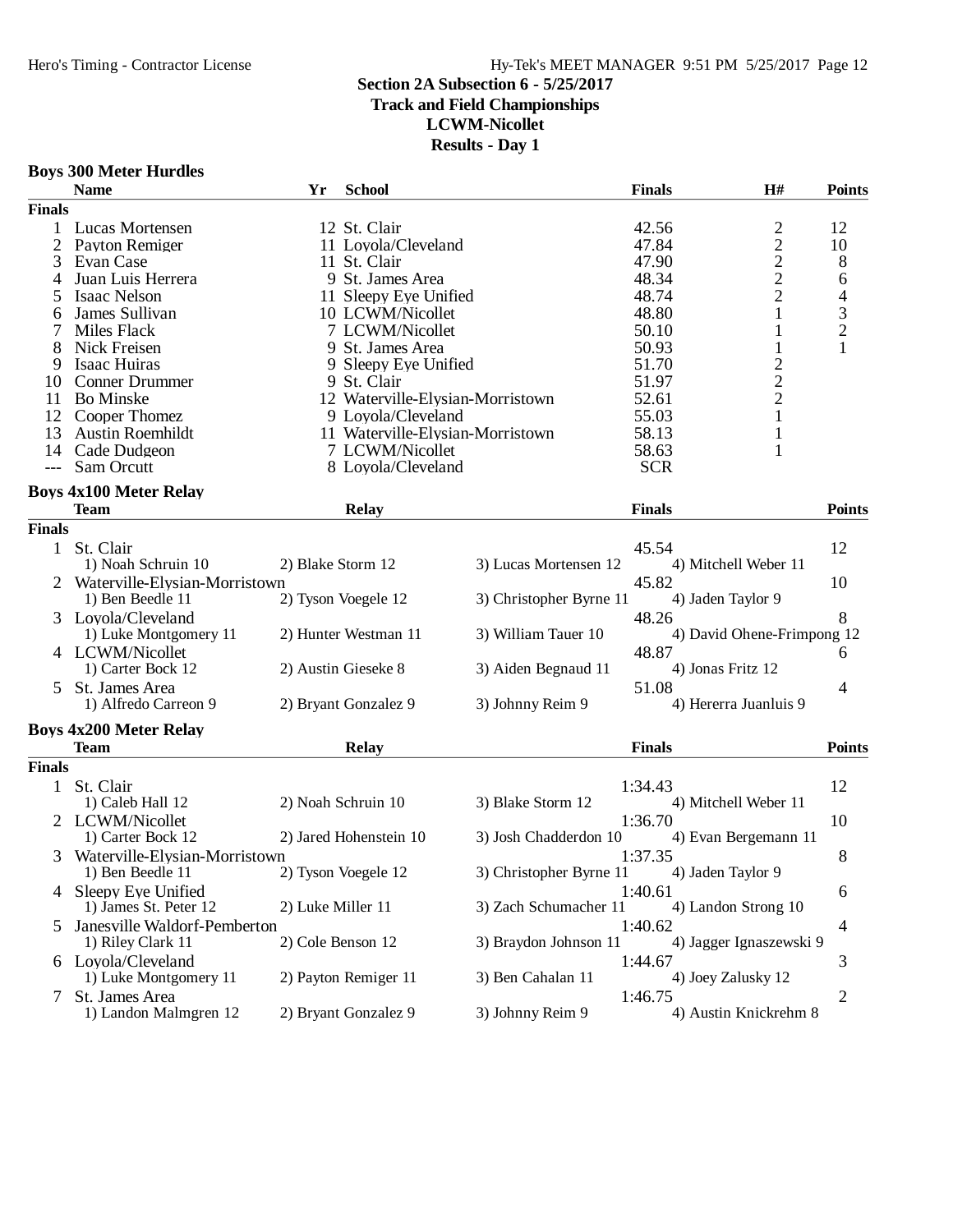### Hero's Timing - Contractor License Hy-Tek's MEET MANAGER 9:51 PM 5/25/2017 Page 12

### **Section 2A Subsection 6 - 5/25/2017**

## **Track and Field Championships**

**LCWM-Nicollet**

|  |  |  | <b>Boys 300 Meter Hurdles</b> |
|--|--|--|-------------------------------|
|--|--|--|-------------------------------|

| <b>Finals</b><br>12 St. Clair<br>42.56<br>2<br>12<br>1<br>Lucas Mortensen<br>$\overline{c}$<br>47.84<br>10<br>2<br>Payton Remiger<br>11 Loyola/Cleveland<br>$\overline{c}$<br>8<br>3<br>47.90<br>Evan Case<br>11 St. Clair<br>$\overline{c}$<br>9 St. James Area<br>48.34<br>Juan Luis Herrera<br>6<br>4<br>$\overline{c}$<br>48.74<br><b>Isaac Nelson</b><br>11 Sleepy Eye Unified<br>4<br>$\mathfrak{Z}$<br>James Sullivan<br>10 LCWM/Nicollet<br>48.80<br>1<br>6<br>$\overline{c}$<br>Miles Flack<br>7 LCWM/Nicollet<br>50.10<br>Nick Freisen<br>1<br>8<br>9 St. James Area<br>50.93<br>1<br>$\overline{\mathbf{c}}$<br>Isaac Huiras<br>9 Sleepy Eye Unified<br>51.70<br>9<br>$\overline{c}$<br>10<br><b>Conner Drummer</b><br>9 St. Clair<br>51.97<br>$\overline{c}$<br><b>Bo Minske</b><br>12 Waterville-Elysian-Morristown<br>11<br>52.61<br>55.03<br>1<br>12<br>Cooper Thomez<br>9 Loyola/Cleveland<br>13<br><b>Austin Roemhildt</b><br>11 Waterville-Elysian-Morristown<br>58.13<br>1<br>14<br>Cade Dudgeon<br>7 LCWM/Nicollet<br>58.63<br>Sam Orcutt<br>8 Loyola/Cleveland<br><b>SCR</b><br><b>Boys 4x100 Meter Relay</b><br><b>Points</b><br><b>Team</b><br><b>Relay</b><br><b>Finals</b><br><b>Finals</b><br>St. Clair<br>45.54<br>12<br>$\mathbf{1}$<br>1) Noah Schruin 10<br>2) Blake Storm 12<br>3) Lucas Mortensen 12<br>4) Mitchell Weber 11<br>Waterville-Elysian-Morristown<br>45.82<br>10<br>1) Ben Beedle 11<br>2) Tyson Voegele 12<br>3) Christopher Byrne 11<br>4) Jaden Taylor 9<br>8<br>48.26<br>Loyola/Cleveland<br>2) Hunter Westman 11<br>3) William Tauer 10<br>4) David Ohene-Frimpong 12<br>1) Luke Montgomery 11<br>4 LCWM/Nicollet<br>48.87<br>6<br>1) Carter Bock 12<br>2) Austin Gieseke 8<br>3) Aiden Begnaud 11<br>4) Jonas Fritz 12<br>51.08<br>St. James Area<br>4<br>5.<br>4) Hererra Juanluis 9<br>1) Alfredo Carreon 9<br>2) Bryant Gonzalez 9<br>3) Johnny Reim 9<br><b>Boys 4x200 Meter Relay</b><br><b>Points</b><br><b>Finals</b><br><b>Team</b><br><b>Relay</b><br><b>Finals</b><br>12<br>St. Clair<br>1:34.43<br>$\mathbf{1}$<br>1) Caleb Hall 12<br>2) Noah Schruin 10<br>3) Blake Storm 12<br>4) Mitchell Weber 11<br>2 LCWM/Nicollet<br>1:36.70<br>10<br>2) Jared Hohenstein 10<br>3) Josh Chadderdon 10<br>4) Evan Bergemann 11<br>1) Carter Bock 12<br>1:37.35<br>8<br>Waterville-Elysian-Morristown<br>2) Tyson Voegele 12<br>3) Christopher Byrne 11<br>1) Ben Beedle 11<br>4) Jaden Taylor 9<br>Sleepy Eye Unified<br>1:40.61<br>6<br>4<br>1) James St. Peter 12<br>2) Luke Miller 11<br>3) Zach Schumacher 11<br>4) Landon Strong 10<br>Janesville Waldorf-Pemberton<br>1:40.62<br>5.<br>4<br>2) Cole Benson 12<br>3) Braydon Johnson 11<br>1) Riley Clark 11<br>4) Jagger Ignaszewski 9<br>6 Loyola/Cleveland<br>1:44.67<br>3<br>3) Ben Cahalan 11<br>1) Luke Montgomery 11<br>2) Payton Remiger 11<br>4) Joey Zalusky 12<br>St. James Area<br>1:46.75<br>$\overline{c}$<br>7<br>1) Landon Malmgren 12<br>2) Bryant Gonzalez 9<br>3) Johnny Reim 9<br>4) Austin Knickrehm 8 | <b>Name</b> | Yr | <b>School</b> | <b>Finals</b> | H# | <b>Points</b> |
|--------------------------------------------------------------------------------------------------------------------------------------------------------------------------------------------------------------------------------------------------------------------------------------------------------------------------------------------------------------------------------------------------------------------------------------------------------------------------------------------------------------------------------------------------------------------------------------------------------------------------------------------------------------------------------------------------------------------------------------------------------------------------------------------------------------------------------------------------------------------------------------------------------------------------------------------------------------------------------------------------------------------------------------------------------------------------------------------------------------------------------------------------------------------------------------------------------------------------------------------------------------------------------------------------------------------------------------------------------------------------------------------------------------------------------------------------------------------------------------------------------------------------------------------------------------------------------------------------------------------------------------------------------------------------------------------------------------------------------------------------------------------------------------------------------------------------------------------------------------------------------------------------------------------------------------------------------------------------------------------------------------------------------------------------------------------------------------------------------------------------------------------------------------------------------------------------------------------------------------------------------------------------------------------------------------------------------------------------------------------------------------------------------------------------------------------------------------------------------------------------------------------------------------------------------------------------------------------------------------------------------------------------------------------------------------------------------------------------------------------------------------------------------------------------------------------------------------------------------------------------------------------------------------------------------------------------------------------------------------------------------------------------------------|-------------|----|---------------|---------------|----|---------------|
|                                                                                                                                                                                                                                                                                                                                                                                                                                                                                                                                                                                                                                                                                                                                                                                                                                                                                                                                                                                                                                                                                                                                                                                                                                                                                                                                                                                                                                                                                                                                                                                                                                                                                                                                                                                                                                                                                                                                                                                                                                                                                                                                                                                                                                                                                                                                                                                                                                                                                                                                                                                                                                                                                                                                                                                                                                                                                                                                                                                                                                      |             |    |               |               |    |               |
|                                                                                                                                                                                                                                                                                                                                                                                                                                                                                                                                                                                                                                                                                                                                                                                                                                                                                                                                                                                                                                                                                                                                                                                                                                                                                                                                                                                                                                                                                                                                                                                                                                                                                                                                                                                                                                                                                                                                                                                                                                                                                                                                                                                                                                                                                                                                                                                                                                                                                                                                                                                                                                                                                                                                                                                                                                                                                                                                                                                                                                      |             |    |               |               |    |               |
|                                                                                                                                                                                                                                                                                                                                                                                                                                                                                                                                                                                                                                                                                                                                                                                                                                                                                                                                                                                                                                                                                                                                                                                                                                                                                                                                                                                                                                                                                                                                                                                                                                                                                                                                                                                                                                                                                                                                                                                                                                                                                                                                                                                                                                                                                                                                                                                                                                                                                                                                                                                                                                                                                                                                                                                                                                                                                                                                                                                                                                      |             |    |               |               |    |               |
|                                                                                                                                                                                                                                                                                                                                                                                                                                                                                                                                                                                                                                                                                                                                                                                                                                                                                                                                                                                                                                                                                                                                                                                                                                                                                                                                                                                                                                                                                                                                                                                                                                                                                                                                                                                                                                                                                                                                                                                                                                                                                                                                                                                                                                                                                                                                                                                                                                                                                                                                                                                                                                                                                                                                                                                                                                                                                                                                                                                                                                      |             |    |               |               |    |               |
|                                                                                                                                                                                                                                                                                                                                                                                                                                                                                                                                                                                                                                                                                                                                                                                                                                                                                                                                                                                                                                                                                                                                                                                                                                                                                                                                                                                                                                                                                                                                                                                                                                                                                                                                                                                                                                                                                                                                                                                                                                                                                                                                                                                                                                                                                                                                                                                                                                                                                                                                                                                                                                                                                                                                                                                                                                                                                                                                                                                                                                      |             |    |               |               |    |               |
|                                                                                                                                                                                                                                                                                                                                                                                                                                                                                                                                                                                                                                                                                                                                                                                                                                                                                                                                                                                                                                                                                                                                                                                                                                                                                                                                                                                                                                                                                                                                                                                                                                                                                                                                                                                                                                                                                                                                                                                                                                                                                                                                                                                                                                                                                                                                                                                                                                                                                                                                                                                                                                                                                                                                                                                                                                                                                                                                                                                                                                      |             |    |               |               |    |               |
|                                                                                                                                                                                                                                                                                                                                                                                                                                                                                                                                                                                                                                                                                                                                                                                                                                                                                                                                                                                                                                                                                                                                                                                                                                                                                                                                                                                                                                                                                                                                                                                                                                                                                                                                                                                                                                                                                                                                                                                                                                                                                                                                                                                                                                                                                                                                                                                                                                                                                                                                                                                                                                                                                                                                                                                                                                                                                                                                                                                                                                      |             |    |               |               |    |               |
|                                                                                                                                                                                                                                                                                                                                                                                                                                                                                                                                                                                                                                                                                                                                                                                                                                                                                                                                                                                                                                                                                                                                                                                                                                                                                                                                                                                                                                                                                                                                                                                                                                                                                                                                                                                                                                                                                                                                                                                                                                                                                                                                                                                                                                                                                                                                                                                                                                                                                                                                                                                                                                                                                                                                                                                                                                                                                                                                                                                                                                      |             |    |               |               |    |               |
|                                                                                                                                                                                                                                                                                                                                                                                                                                                                                                                                                                                                                                                                                                                                                                                                                                                                                                                                                                                                                                                                                                                                                                                                                                                                                                                                                                                                                                                                                                                                                                                                                                                                                                                                                                                                                                                                                                                                                                                                                                                                                                                                                                                                                                                                                                                                                                                                                                                                                                                                                                                                                                                                                                                                                                                                                                                                                                                                                                                                                                      |             |    |               |               |    |               |
|                                                                                                                                                                                                                                                                                                                                                                                                                                                                                                                                                                                                                                                                                                                                                                                                                                                                                                                                                                                                                                                                                                                                                                                                                                                                                                                                                                                                                                                                                                                                                                                                                                                                                                                                                                                                                                                                                                                                                                                                                                                                                                                                                                                                                                                                                                                                                                                                                                                                                                                                                                                                                                                                                                                                                                                                                                                                                                                                                                                                                                      |             |    |               |               |    |               |
|                                                                                                                                                                                                                                                                                                                                                                                                                                                                                                                                                                                                                                                                                                                                                                                                                                                                                                                                                                                                                                                                                                                                                                                                                                                                                                                                                                                                                                                                                                                                                                                                                                                                                                                                                                                                                                                                                                                                                                                                                                                                                                                                                                                                                                                                                                                                                                                                                                                                                                                                                                                                                                                                                                                                                                                                                                                                                                                                                                                                                                      |             |    |               |               |    |               |
|                                                                                                                                                                                                                                                                                                                                                                                                                                                                                                                                                                                                                                                                                                                                                                                                                                                                                                                                                                                                                                                                                                                                                                                                                                                                                                                                                                                                                                                                                                                                                                                                                                                                                                                                                                                                                                                                                                                                                                                                                                                                                                                                                                                                                                                                                                                                                                                                                                                                                                                                                                                                                                                                                                                                                                                                                                                                                                                                                                                                                                      |             |    |               |               |    |               |
|                                                                                                                                                                                                                                                                                                                                                                                                                                                                                                                                                                                                                                                                                                                                                                                                                                                                                                                                                                                                                                                                                                                                                                                                                                                                                                                                                                                                                                                                                                                                                                                                                                                                                                                                                                                                                                                                                                                                                                                                                                                                                                                                                                                                                                                                                                                                                                                                                                                                                                                                                                                                                                                                                                                                                                                                                                                                                                                                                                                                                                      |             |    |               |               |    |               |
|                                                                                                                                                                                                                                                                                                                                                                                                                                                                                                                                                                                                                                                                                                                                                                                                                                                                                                                                                                                                                                                                                                                                                                                                                                                                                                                                                                                                                                                                                                                                                                                                                                                                                                                                                                                                                                                                                                                                                                                                                                                                                                                                                                                                                                                                                                                                                                                                                                                                                                                                                                                                                                                                                                                                                                                                                                                                                                                                                                                                                                      |             |    |               |               |    |               |
|                                                                                                                                                                                                                                                                                                                                                                                                                                                                                                                                                                                                                                                                                                                                                                                                                                                                                                                                                                                                                                                                                                                                                                                                                                                                                                                                                                                                                                                                                                                                                                                                                                                                                                                                                                                                                                                                                                                                                                                                                                                                                                                                                                                                                                                                                                                                                                                                                                                                                                                                                                                                                                                                                                                                                                                                                                                                                                                                                                                                                                      |             |    |               |               |    |               |
|                                                                                                                                                                                                                                                                                                                                                                                                                                                                                                                                                                                                                                                                                                                                                                                                                                                                                                                                                                                                                                                                                                                                                                                                                                                                                                                                                                                                                                                                                                                                                                                                                                                                                                                                                                                                                                                                                                                                                                                                                                                                                                                                                                                                                                                                                                                                                                                                                                                                                                                                                                                                                                                                                                                                                                                                                                                                                                                                                                                                                                      |             |    |               |               |    |               |
|                                                                                                                                                                                                                                                                                                                                                                                                                                                                                                                                                                                                                                                                                                                                                                                                                                                                                                                                                                                                                                                                                                                                                                                                                                                                                                                                                                                                                                                                                                                                                                                                                                                                                                                                                                                                                                                                                                                                                                                                                                                                                                                                                                                                                                                                                                                                                                                                                                                                                                                                                                                                                                                                                                                                                                                                                                                                                                                                                                                                                                      |             |    |               |               |    |               |
|                                                                                                                                                                                                                                                                                                                                                                                                                                                                                                                                                                                                                                                                                                                                                                                                                                                                                                                                                                                                                                                                                                                                                                                                                                                                                                                                                                                                                                                                                                                                                                                                                                                                                                                                                                                                                                                                                                                                                                                                                                                                                                                                                                                                                                                                                                                                                                                                                                                                                                                                                                                                                                                                                                                                                                                                                                                                                                                                                                                                                                      |             |    |               |               |    |               |
|                                                                                                                                                                                                                                                                                                                                                                                                                                                                                                                                                                                                                                                                                                                                                                                                                                                                                                                                                                                                                                                                                                                                                                                                                                                                                                                                                                                                                                                                                                                                                                                                                                                                                                                                                                                                                                                                                                                                                                                                                                                                                                                                                                                                                                                                                                                                                                                                                                                                                                                                                                                                                                                                                                                                                                                                                                                                                                                                                                                                                                      |             |    |               |               |    |               |
|                                                                                                                                                                                                                                                                                                                                                                                                                                                                                                                                                                                                                                                                                                                                                                                                                                                                                                                                                                                                                                                                                                                                                                                                                                                                                                                                                                                                                                                                                                                                                                                                                                                                                                                                                                                                                                                                                                                                                                                                                                                                                                                                                                                                                                                                                                                                                                                                                                                                                                                                                                                                                                                                                                                                                                                                                                                                                                                                                                                                                                      |             |    |               |               |    |               |
|                                                                                                                                                                                                                                                                                                                                                                                                                                                                                                                                                                                                                                                                                                                                                                                                                                                                                                                                                                                                                                                                                                                                                                                                                                                                                                                                                                                                                                                                                                                                                                                                                                                                                                                                                                                                                                                                                                                                                                                                                                                                                                                                                                                                                                                                                                                                                                                                                                                                                                                                                                                                                                                                                                                                                                                                                                                                                                                                                                                                                                      |             |    |               |               |    |               |
|                                                                                                                                                                                                                                                                                                                                                                                                                                                                                                                                                                                                                                                                                                                                                                                                                                                                                                                                                                                                                                                                                                                                                                                                                                                                                                                                                                                                                                                                                                                                                                                                                                                                                                                                                                                                                                                                                                                                                                                                                                                                                                                                                                                                                                                                                                                                                                                                                                                                                                                                                                                                                                                                                                                                                                                                                                                                                                                                                                                                                                      |             |    |               |               |    |               |
|                                                                                                                                                                                                                                                                                                                                                                                                                                                                                                                                                                                                                                                                                                                                                                                                                                                                                                                                                                                                                                                                                                                                                                                                                                                                                                                                                                                                                                                                                                                                                                                                                                                                                                                                                                                                                                                                                                                                                                                                                                                                                                                                                                                                                                                                                                                                                                                                                                                                                                                                                                                                                                                                                                                                                                                                                                                                                                                                                                                                                                      |             |    |               |               |    |               |
|                                                                                                                                                                                                                                                                                                                                                                                                                                                                                                                                                                                                                                                                                                                                                                                                                                                                                                                                                                                                                                                                                                                                                                                                                                                                                                                                                                                                                                                                                                                                                                                                                                                                                                                                                                                                                                                                                                                                                                                                                                                                                                                                                                                                                                                                                                                                                                                                                                                                                                                                                                                                                                                                                                                                                                                                                                                                                                                                                                                                                                      |             |    |               |               |    |               |
|                                                                                                                                                                                                                                                                                                                                                                                                                                                                                                                                                                                                                                                                                                                                                                                                                                                                                                                                                                                                                                                                                                                                                                                                                                                                                                                                                                                                                                                                                                                                                                                                                                                                                                                                                                                                                                                                                                                                                                                                                                                                                                                                                                                                                                                                                                                                                                                                                                                                                                                                                                                                                                                                                                                                                                                                                                                                                                                                                                                                                                      |             |    |               |               |    |               |
|                                                                                                                                                                                                                                                                                                                                                                                                                                                                                                                                                                                                                                                                                                                                                                                                                                                                                                                                                                                                                                                                                                                                                                                                                                                                                                                                                                                                                                                                                                                                                                                                                                                                                                                                                                                                                                                                                                                                                                                                                                                                                                                                                                                                                                                                                                                                                                                                                                                                                                                                                                                                                                                                                                                                                                                                                                                                                                                                                                                                                                      |             |    |               |               |    |               |
|                                                                                                                                                                                                                                                                                                                                                                                                                                                                                                                                                                                                                                                                                                                                                                                                                                                                                                                                                                                                                                                                                                                                                                                                                                                                                                                                                                                                                                                                                                                                                                                                                                                                                                                                                                                                                                                                                                                                                                                                                                                                                                                                                                                                                                                                                                                                                                                                                                                                                                                                                                                                                                                                                                                                                                                                                                                                                                                                                                                                                                      |             |    |               |               |    |               |
|                                                                                                                                                                                                                                                                                                                                                                                                                                                                                                                                                                                                                                                                                                                                                                                                                                                                                                                                                                                                                                                                                                                                                                                                                                                                                                                                                                                                                                                                                                                                                                                                                                                                                                                                                                                                                                                                                                                                                                                                                                                                                                                                                                                                                                                                                                                                                                                                                                                                                                                                                                                                                                                                                                                                                                                                                                                                                                                                                                                                                                      |             |    |               |               |    |               |
|                                                                                                                                                                                                                                                                                                                                                                                                                                                                                                                                                                                                                                                                                                                                                                                                                                                                                                                                                                                                                                                                                                                                                                                                                                                                                                                                                                                                                                                                                                                                                                                                                                                                                                                                                                                                                                                                                                                                                                                                                                                                                                                                                                                                                                                                                                                                                                                                                                                                                                                                                                                                                                                                                                                                                                                                                                                                                                                                                                                                                                      |             |    |               |               |    |               |
|                                                                                                                                                                                                                                                                                                                                                                                                                                                                                                                                                                                                                                                                                                                                                                                                                                                                                                                                                                                                                                                                                                                                                                                                                                                                                                                                                                                                                                                                                                                                                                                                                                                                                                                                                                                                                                                                                                                                                                                                                                                                                                                                                                                                                                                                                                                                                                                                                                                                                                                                                                                                                                                                                                                                                                                                                                                                                                                                                                                                                                      |             |    |               |               |    |               |
|                                                                                                                                                                                                                                                                                                                                                                                                                                                                                                                                                                                                                                                                                                                                                                                                                                                                                                                                                                                                                                                                                                                                                                                                                                                                                                                                                                                                                                                                                                                                                                                                                                                                                                                                                                                                                                                                                                                                                                                                                                                                                                                                                                                                                                                                                                                                                                                                                                                                                                                                                                                                                                                                                                                                                                                                                                                                                                                                                                                                                                      |             |    |               |               |    |               |
|                                                                                                                                                                                                                                                                                                                                                                                                                                                                                                                                                                                                                                                                                                                                                                                                                                                                                                                                                                                                                                                                                                                                                                                                                                                                                                                                                                                                                                                                                                                                                                                                                                                                                                                                                                                                                                                                                                                                                                                                                                                                                                                                                                                                                                                                                                                                                                                                                                                                                                                                                                                                                                                                                                                                                                                                                                                                                                                                                                                                                                      |             |    |               |               |    |               |
|                                                                                                                                                                                                                                                                                                                                                                                                                                                                                                                                                                                                                                                                                                                                                                                                                                                                                                                                                                                                                                                                                                                                                                                                                                                                                                                                                                                                                                                                                                                                                                                                                                                                                                                                                                                                                                                                                                                                                                                                                                                                                                                                                                                                                                                                                                                                                                                                                                                                                                                                                                                                                                                                                                                                                                                                                                                                                                                                                                                                                                      |             |    |               |               |    |               |
|                                                                                                                                                                                                                                                                                                                                                                                                                                                                                                                                                                                                                                                                                                                                                                                                                                                                                                                                                                                                                                                                                                                                                                                                                                                                                                                                                                                                                                                                                                                                                                                                                                                                                                                                                                                                                                                                                                                                                                                                                                                                                                                                                                                                                                                                                                                                                                                                                                                                                                                                                                                                                                                                                                                                                                                                                                                                                                                                                                                                                                      |             |    |               |               |    |               |
|                                                                                                                                                                                                                                                                                                                                                                                                                                                                                                                                                                                                                                                                                                                                                                                                                                                                                                                                                                                                                                                                                                                                                                                                                                                                                                                                                                                                                                                                                                                                                                                                                                                                                                                                                                                                                                                                                                                                                                                                                                                                                                                                                                                                                                                                                                                                                                                                                                                                                                                                                                                                                                                                                                                                                                                                                                                                                                                                                                                                                                      |             |    |               |               |    |               |
|                                                                                                                                                                                                                                                                                                                                                                                                                                                                                                                                                                                                                                                                                                                                                                                                                                                                                                                                                                                                                                                                                                                                                                                                                                                                                                                                                                                                                                                                                                                                                                                                                                                                                                                                                                                                                                                                                                                                                                                                                                                                                                                                                                                                                                                                                                                                                                                                                                                                                                                                                                                                                                                                                                                                                                                                                                                                                                                                                                                                                                      |             |    |               |               |    |               |
|                                                                                                                                                                                                                                                                                                                                                                                                                                                                                                                                                                                                                                                                                                                                                                                                                                                                                                                                                                                                                                                                                                                                                                                                                                                                                                                                                                                                                                                                                                                                                                                                                                                                                                                                                                                                                                                                                                                                                                                                                                                                                                                                                                                                                                                                                                                                                                                                                                                                                                                                                                                                                                                                                                                                                                                                                                                                                                                                                                                                                                      |             |    |               |               |    |               |
|                                                                                                                                                                                                                                                                                                                                                                                                                                                                                                                                                                                                                                                                                                                                                                                                                                                                                                                                                                                                                                                                                                                                                                                                                                                                                                                                                                                                                                                                                                                                                                                                                                                                                                                                                                                                                                                                                                                                                                                                                                                                                                                                                                                                                                                                                                                                                                                                                                                                                                                                                                                                                                                                                                                                                                                                                                                                                                                                                                                                                                      |             |    |               |               |    |               |
|                                                                                                                                                                                                                                                                                                                                                                                                                                                                                                                                                                                                                                                                                                                                                                                                                                                                                                                                                                                                                                                                                                                                                                                                                                                                                                                                                                                                                                                                                                                                                                                                                                                                                                                                                                                                                                                                                                                                                                                                                                                                                                                                                                                                                                                                                                                                                                                                                                                                                                                                                                                                                                                                                                                                                                                                                                                                                                                                                                                                                                      |             |    |               |               |    |               |
|                                                                                                                                                                                                                                                                                                                                                                                                                                                                                                                                                                                                                                                                                                                                                                                                                                                                                                                                                                                                                                                                                                                                                                                                                                                                                                                                                                                                                                                                                                                                                                                                                                                                                                                                                                                                                                                                                                                                                                                                                                                                                                                                                                                                                                                                                                                                                                                                                                                                                                                                                                                                                                                                                                                                                                                                                                                                                                                                                                                                                                      |             |    |               |               |    |               |
|                                                                                                                                                                                                                                                                                                                                                                                                                                                                                                                                                                                                                                                                                                                                                                                                                                                                                                                                                                                                                                                                                                                                                                                                                                                                                                                                                                                                                                                                                                                                                                                                                                                                                                                                                                                                                                                                                                                                                                                                                                                                                                                                                                                                                                                                                                                                                                                                                                                                                                                                                                                                                                                                                                                                                                                                                                                                                                                                                                                                                                      |             |    |               |               |    |               |
|                                                                                                                                                                                                                                                                                                                                                                                                                                                                                                                                                                                                                                                                                                                                                                                                                                                                                                                                                                                                                                                                                                                                                                                                                                                                                                                                                                                                                                                                                                                                                                                                                                                                                                                                                                                                                                                                                                                                                                                                                                                                                                                                                                                                                                                                                                                                                                                                                                                                                                                                                                                                                                                                                                                                                                                                                                                                                                                                                                                                                                      |             |    |               |               |    |               |
|                                                                                                                                                                                                                                                                                                                                                                                                                                                                                                                                                                                                                                                                                                                                                                                                                                                                                                                                                                                                                                                                                                                                                                                                                                                                                                                                                                                                                                                                                                                                                                                                                                                                                                                                                                                                                                                                                                                                                                                                                                                                                                                                                                                                                                                                                                                                                                                                                                                                                                                                                                                                                                                                                                                                                                                                                                                                                                                                                                                                                                      |             |    |               |               |    |               |
|                                                                                                                                                                                                                                                                                                                                                                                                                                                                                                                                                                                                                                                                                                                                                                                                                                                                                                                                                                                                                                                                                                                                                                                                                                                                                                                                                                                                                                                                                                                                                                                                                                                                                                                                                                                                                                                                                                                                                                                                                                                                                                                                                                                                                                                                                                                                                                                                                                                                                                                                                                                                                                                                                                                                                                                                                                                                                                                                                                                                                                      |             |    |               |               |    |               |
|                                                                                                                                                                                                                                                                                                                                                                                                                                                                                                                                                                                                                                                                                                                                                                                                                                                                                                                                                                                                                                                                                                                                                                                                                                                                                                                                                                                                                                                                                                                                                                                                                                                                                                                                                                                                                                                                                                                                                                                                                                                                                                                                                                                                                                                                                                                                                                                                                                                                                                                                                                                                                                                                                                                                                                                                                                                                                                                                                                                                                                      |             |    |               |               |    |               |
|                                                                                                                                                                                                                                                                                                                                                                                                                                                                                                                                                                                                                                                                                                                                                                                                                                                                                                                                                                                                                                                                                                                                                                                                                                                                                                                                                                                                                                                                                                                                                                                                                                                                                                                                                                                                                                                                                                                                                                                                                                                                                                                                                                                                                                                                                                                                                                                                                                                                                                                                                                                                                                                                                                                                                                                                                                                                                                                                                                                                                                      |             |    |               |               |    |               |
|                                                                                                                                                                                                                                                                                                                                                                                                                                                                                                                                                                                                                                                                                                                                                                                                                                                                                                                                                                                                                                                                                                                                                                                                                                                                                                                                                                                                                                                                                                                                                                                                                                                                                                                                                                                                                                                                                                                                                                                                                                                                                                                                                                                                                                                                                                                                                                                                                                                                                                                                                                                                                                                                                                                                                                                                                                                                                                                                                                                                                                      |             |    |               |               |    |               |
|                                                                                                                                                                                                                                                                                                                                                                                                                                                                                                                                                                                                                                                                                                                                                                                                                                                                                                                                                                                                                                                                                                                                                                                                                                                                                                                                                                                                                                                                                                                                                                                                                                                                                                                                                                                                                                                                                                                                                                                                                                                                                                                                                                                                                                                                                                                                                                                                                                                                                                                                                                                                                                                                                                                                                                                                                                                                                                                                                                                                                                      |             |    |               |               |    |               |
|                                                                                                                                                                                                                                                                                                                                                                                                                                                                                                                                                                                                                                                                                                                                                                                                                                                                                                                                                                                                                                                                                                                                                                                                                                                                                                                                                                                                                                                                                                                                                                                                                                                                                                                                                                                                                                                                                                                                                                                                                                                                                                                                                                                                                                                                                                                                                                                                                                                                                                                                                                                                                                                                                                                                                                                                                                                                                                                                                                                                                                      |             |    |               |               |    |               |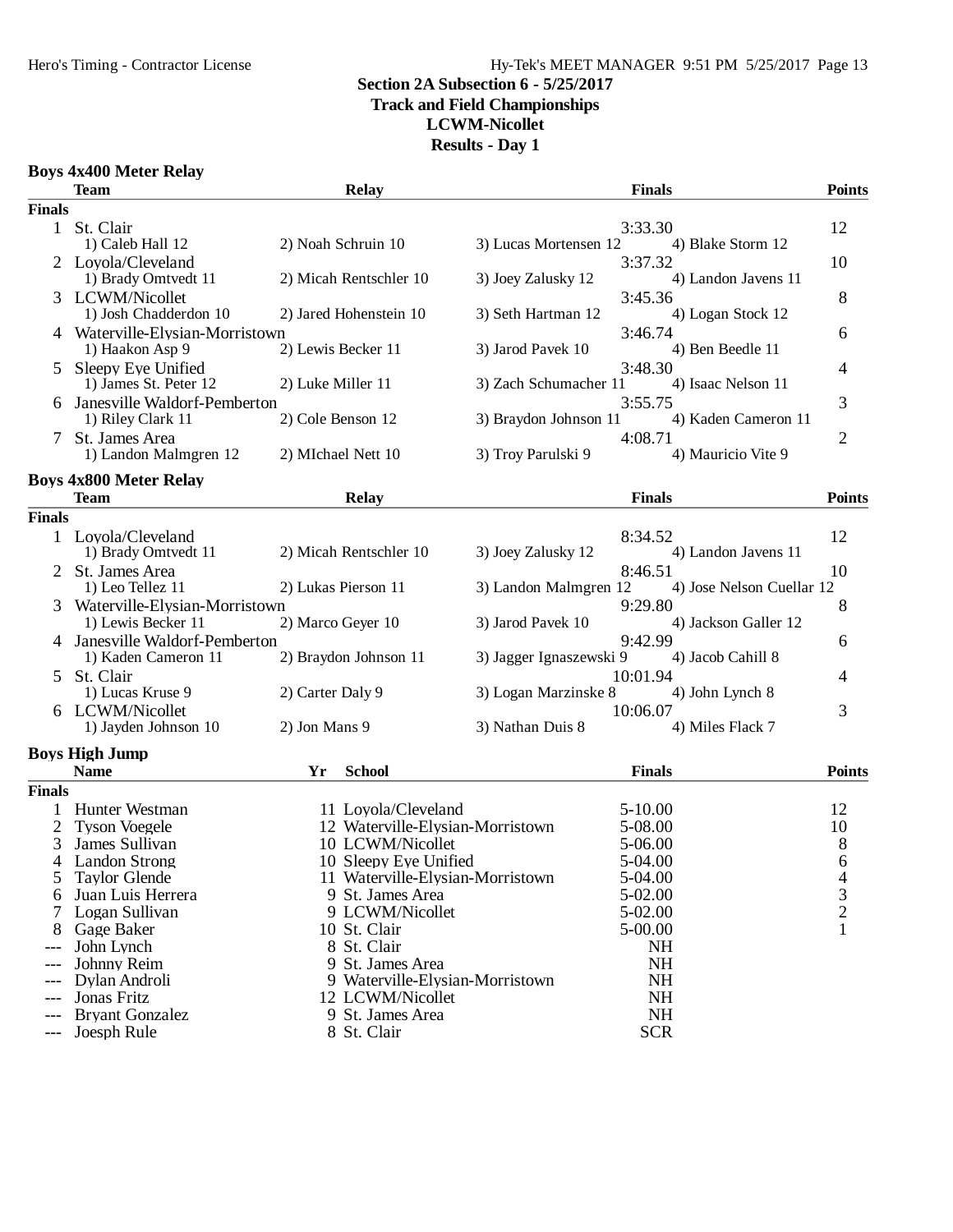## Hero's Timing - Contractor License Hy-Tek's MEET MANAGER 9:51 PM 5/25/2017 Page 13

### **Section 2A Subsection 6 - 5/25/2017 Track and Field Championships**

**LCWM-Nicollet Results - Day 1**

### **Boys 4x400 Meter Relay**

|               | <b>Team</b>                     | <b>Relay</b>                     |                         | <b>Finals</b> |                           | <b>Points</b>  |
|---------------|---------------------------------|----------------------------------|-------------------------|---------------|---------------------------|----------------|
| <b>Finals</b> |                                 |                                  |                         |               |                           |                |
| $\mathbf{1}$  | St. Clair                       |                                  |                         | 3:33.30       |                           | 12             |
|               | 1) Caleb Hall 12                | 2) Noah Schruin 10               | 3) Lucas Mortensen 12   |               | 4) Blake Storm 12         |                |
|               | 2 Loyola/Cleveland              |                                  |                         | 3:37.32       |                           | 10             |
|               | 1) Brady Omtvedt 11             | 2) Micah Rentschler 10           | 3) Joey Zalusky 12      |               | 4) Landon Javens 11       |                |
|               | 3 LCWM/Nicollet                 |                                  |                         | 3:45.36       |                           | 8              |
|               | 1) Josh Chadderdon 10           | 2) Jared Hohenstein 10           | 3) Seth Hartman 12      |               | 4) Logan Stock 12         |                |
|               | 4 Waterville-Elysian-Morristown |                                  |                         | 3:46.74       |                           | 6              |
|               | 1) Haakon Asp 9                 | 2) Lewis Becker 11               | 3) Jarod Pavek 10       |               | 4) Ben Beedle 11          |                |
| 5             | Sleepy Eye Unified              |                                  |                         | 3:48.30       |                           | 4              |
|               | 1) James St. Peter 12           | 2) Luke Miller 11                | 3) Zach Schumacher 11   |               | 4) Isaac Nelson 11        |                |
|               | Janesville Waldorf-Pemberton    |                                  |                         | 3:55.75       |                           | 3              |
|               | 1) Riley Clark 11               | 2) Cole Benson 12                | 3) Braydon Johnson 11   |               | 4) Kaden Cameron 11       |                |
|               | St. James Area                  |                                  |                         | 4:08.71       |                           | $\overline{2}$ |
|               | 1) Landon Malmgren 12           | 2) MIchael Nett 10               | 3) Troy Parulski 9      |               | 4) Mauricio Vite 9        |                |
|               | <b>Boys 4x800 Meter Relay</b>   |                                  |                         |               |                           |                |
|               | <b>Team</b>                     | <b>Relay</b>                     |                         | <b>Finals</b> |                           | <b>Points</b>  |
| <b>Finals</b> |                                 |                                  |                         |               |                           |                |
|               | 1 Loyola/Cleveland              |                                  |                         | 8:34.52       |                           | 12             |
|               | 1) Brady Omtvedt 11             | 2) Micah Rentschler 10           | 3) Joey Zalusky 12      |               | 4) Landon Javens 11       |                |
|               | 2 St. James Area                |                                  |                         | 8:46.51       |                           | 10             |
|               | 1) Leo Tellez 11                | 2) Lukas Pierson 11              | 3) Landon Malmgren 12   |               | 4) Jose Nelson Cuellar 12 |                |
|               | Waterville-Elysian-Morristown   |                                  |                         | 9:29.80       |                           | 8              |
|               | 1) Lewis Becker 11              | 2) Marco Geyer 10                | 3) Jarod Pavek 10       |               | 4) Jackson Galler 12      |                |
|               | Janesville Waldorf-Pemberton    |                                  |                         | 9:42.99       |                           | 6              |
|               | 1) Kaden Cameron 11             | 2) Braydon Johnson 11            | 3) Jagger Ignaszewski 9 |               | 4) Jacob Cahill 8         |                |
| 5             | St. Clair                       |                                  |                         | 10:01.94      |                           | 4              |
|               | 1) Lucas Kruse 9                | 2) Carter Daly 9                 | 3) Logan Marzinske 8    |               | 4) John Lynch 8           |                |
|               | 6 LCWM/Nicollet                 |                                  |                         | 10:06.07      |                           | 3              |
|               | 1) Jayden Johnson 10            | 2) Jon Mans 9                    | 3) Nathan Duis 8        |               | 4) Miles Flack 7          |                |
|               | <b>Boys High Jump</b>           |                                  |                         |               |                           |                |
|               | <b>Name</b>                     | <b>School</b><br>Yr              |                         | <b>Finals</b> |                           | <b>Points</b>  |
| <b>Finals</b> |                                 |                                  |                         |               |                           |                |
|               | Hunter Westman                  | 11 Loyola/Cleveland              |                         | $5 - 10.00$   |                           | 12             |
|               | <b>Tyson Voegele</b>            | 12 Waterville-Elysian-Morristown |                         | 5-08.00       |                           | 10             |
| 3             | James Sullivan                  | 10 LCWM/Nicollet                 |                         | 5-06.00       |                           | 8              |
| 4             | <b>Landon Strong</b>            | 10 Sleepy Eye Unified            |                         | 5-04.00       |                           | 6              |
|               | Taylor Glende                   | 11 Waterville-Elysian-Morristown |                         | 5-04.00       |                           | 4              |
|               | Juan Luis Herrera               | 9 St. James Area                 |                         | 5-02.00       |                           | 3              |
|               | Logan Sullivan                  | 9 LCWM/Nicollet                  |                         | 5-02.00       |                           | $\overline{c}$ |
|               | Gage Baker                      | 10 St. Clair                     |                         | 5-00.00       |                           | 1              |
|               | John Lynch                      | 8 St. Clair                      |                         | <b>NH</b>     |                           |                |
| ---           | Johnny Reim                     | 9 St. James Area                 |                         | NH            |                           |                |
| $---$         | Dylan Androli                   | 9 Waterville-Elysian-Morristown  |                         | <b>NH</b>     |                           |                |
| ---           | Jonas Fritz                     | 12 LCWM/Nicollet                 |                         | <b>NH</b>     |                           |                |
|               | <b>Bryant Gonzalez</b>          | 9 St. James Area                 |                         | <b>NH</b>     |                           |                |
| $---$         | Joesph Rule                     | 8 St. Clair                      |                         | <b>SCR</b>    |                           |                |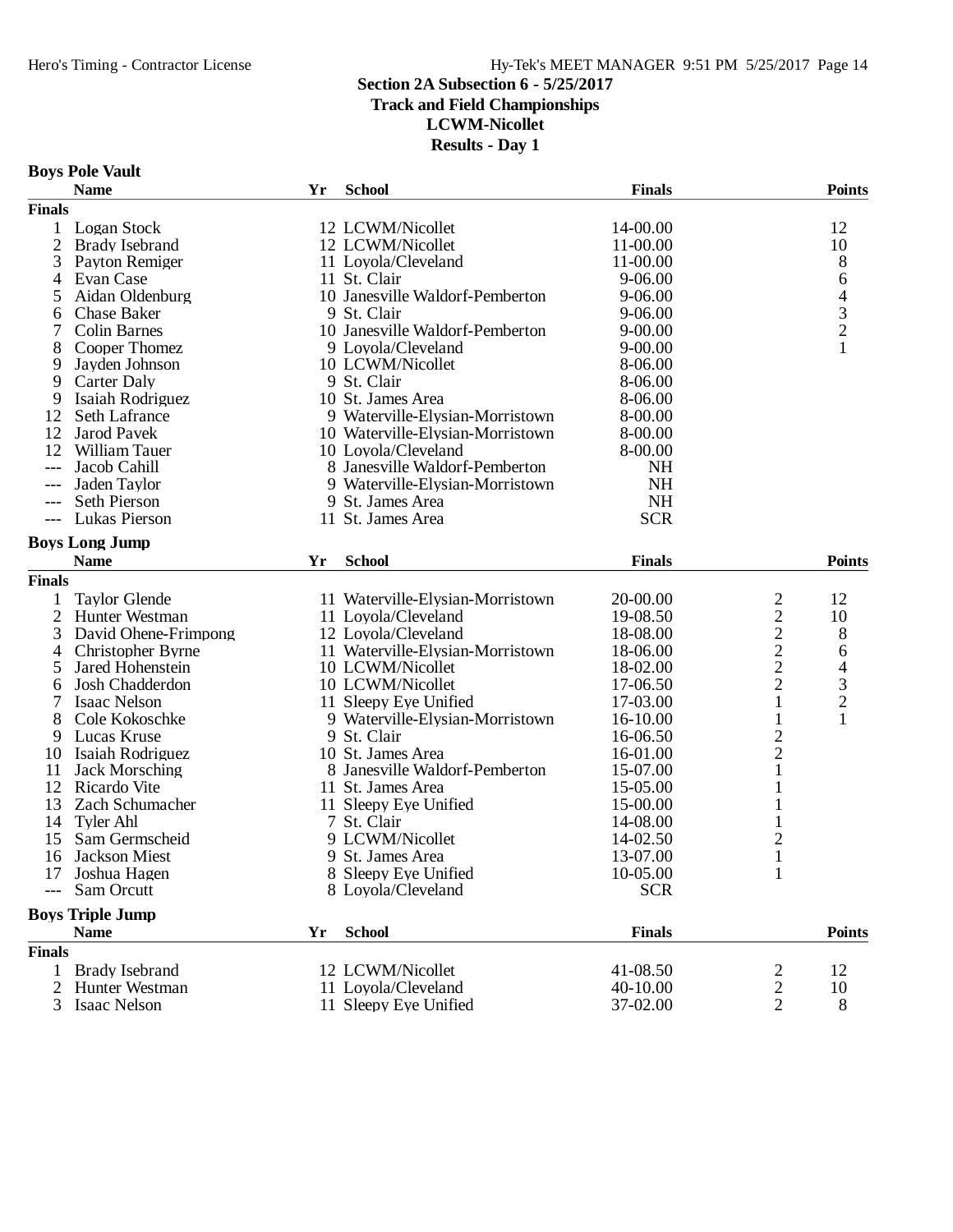# **Track and Field Championships**

**LCWM-Nicollet**

|  |  | <b>Boys Pole Vault</b> |
|--|--|------------------------|
|--|--|------------------------|

|                | <b>Name</b>             | Yr | <b>School</b>                    | <b>Finals</b> |                                | <b>Points</b>            |
|----------------|-------------------------|----|----------------------------------|---------------|--------------------------------|--------------------------|
| <b>Finals</b>  |                         |    |                                  |               |                                |                          |
| 1              | <b>Logan Stock</b>      |    | 12 LCWM/Nicollet                 | 14-00.00      |                                | 12                       |
| $\mathfrak{2}$ | <b>Brady Isebrand</b>   |    | 12 LCWM/Nicollet                 | 11-00.00      |                                | 10                       |
| 3              | Payton Remiger          |    | 11 Loyola/Cleveland              | 11-00.00      |                                | 8                        |
| 4              | Evan Case               |    | 11 St. Clair                     | 9-06.00       |                                | 6                        |
| 5              | Aidan Oldenburg         |    | 10 Janesville Waldorf-Pemberton  | 9-06.00       |                                | $\overline{\mathcal{L}}$ |
| 6              | <b>Chase Baker</b>      |    | 9 St. Clair                      | 9-06.00       |                                |                          |
| 7              | <b>Colin Barnes</b>     |    | 10 Janesville Waldorf-Pemberton  | $9 - 00.00$   |                                | $\frac{3}{2}$            |
| 8              | Cooper Thomez           |    | 9 Loyola/Cleveland               | $9 - 00.00$   |                                | $\mathbf{1}$             |
| 9              | Jayden Johnson          |    | 10 LCWM/Nicollet                 | 8-06.00       |                                |                          |
| 9              | Carter Daly             |    | 9 St. Clair                      | 8-06.00       |                                |                          |
| 9              | Isaiah Rodriguez        |    | 10 St. James Area                | 8-06.00       |                                |                          |
| 12             | Seth Lafrance           |    | 9 Waterville-Elysian-Morristown  | 8-00.00       |                                |                          |
| 12             | <b>Jarod Pavek</b>      |    | 10 Waterville-Elysian-Morristown | 8-00.00       |                                |                          |
| 12             | William Tauer           |    | 10 Loyola/Cleveland              | 8-00.00       |                                |                          |
| $---$          | Jacob Cahill            |    | 8 Janesville Waldorf-Pemberton   | <b>NH</b>     |                                |                          |
| $---$          | Jaden Taylor            |    | 9 Waterville-Elysian-Morristown  | <b>NH</b>     |                                |                          |
| $---$          | <b>Seth Pierson</b>     |    | 9 St. James Area                 | <b>NH</b>     |                                |                          |
|                | Lukas Pierson           |    | 11 St. James Area                | <b>SCR</b>    |                                |                          |
|                |                         |    |                                  |               |                                |                          |
|                | <b>Boys Long Jump</b>   |    |                                  |               |                                |                          |
|                | <b>Name</b>             | Yr | <b>School</b>                    | <b>Finals</b> |                                | <b>Points</b>            |
| <b>Finals</b>  |                         |    |                                  |               |                                |                          |
| 1              | <b>Taylor Glende</b>    |    | 11 Waterville-Elysian-Morristown | 20-00.00      | 2                              | 12                       |
| $\overline{2}$ | Hunter Westman          |    | 11 Loyola/Cleveland              | 19-08.50      | $\overline{c}$                 | 10                       |
| 3              | David Ohene-Frimpong    |    | 12 Loyola/Cleveland              | 18-08.00      | $\frac{2}{2}$<br>$\frac{2}{2}$ | 8                        |
| 4              | Christopher Byrne       |    | 11 Waterville-Elysian-Morristown | 18-06.00      |                                | 6                        |
| 5              | Jared Hohenstein        |    | 10 LCWM/Nicollet                 | 18-02.00      |                                | $\overline{\mathcal{L}}$ |
| 6              | Josh Chadderdon         |    | 10 LCWM/Nicollet                 | 17-06.50      |                                | $\mathfrak{Z}$           |
| 7              | <b>Isaac Nelson</b>     |    | 11 Sleepy Eye Unified            | 17-03.00      | $\mathbf{1}$                   | $\overline{c}$           |
| 8              | Cole Kokoschke          |    | 9 Waterville-Elysian-Morristown  | 16-10.00      | 1                              | $\mathbf{1}$             |
| 9              | Lucas Kruse             |    | 9 St. Clair                      | 16-06.50      | $\frac{2}{2}$                  |                          |
| 10             | Isaiah Rodriguez        |    | 10 St. James Area                | 16-01.00      |                                |                          |
| 11             | <b>Jack Morsching</b>   |    | 8 Janesville Waldorf-Pemberton   | 15-07.00      | $\mathbf{1}$                   |                          |
| 12             | Ricardo Vite            |    | 11 St. James Area                | 15-05.00      | $\mathbf{1}$                   |                          |
| 13             | Zach Schumacher         |    | 11 Sleepy Eye Unified            | 15-00.00      | 1                              |                          |
| 14             | Tyler Ahl               |    | 7 St. Clair                      | 14-08.00      |                                |                          |
| 15             | Sam Germscheid          |    | 9 LCWM/Nicollet                  | 14-02.50      | 2                              |                          |
| 16             | Jackson Miest           |    | 9 St. James Area                 | 13-07.00      | $\mathbf{1}$                   |                          |
| 17             | Joshua Hagen            |    | 8 Sleepy Eye Unified             | 10-05.00      | 1                              |                          |
|                | Sam Orcutt              |    | 8 Loyola/Cleveland               | <b>SCR</b>    |                                |                          |
|                | <b>Boys Triple Jump</b> |    |                                  |               |                                |                          |
|                | <b>Name</b>             | Yr | <b>School</b>                    | <b>Finals</b> |                                | <b>Points</b>            |
| <b>Finals</b>  |                         |    |                                  |               |                                |                          |
| 1              | <b>Brady Isebrand</b>   |    | 12 LCWM/Nicollet                 | 41-08.50      | 2                              | 12                       |
| 2              | Hunter Westman          |    | 11 Loyola/Cleveland              | 40-10.00      |                                | 10                       |
| 3              | Isaac Nelson            |    | 11 Sleepy Eye Unified            | 37-02.00      | $\frac{2}{2}$                  | 8                        |
|                |                         |    |                                  |               |                                |                          |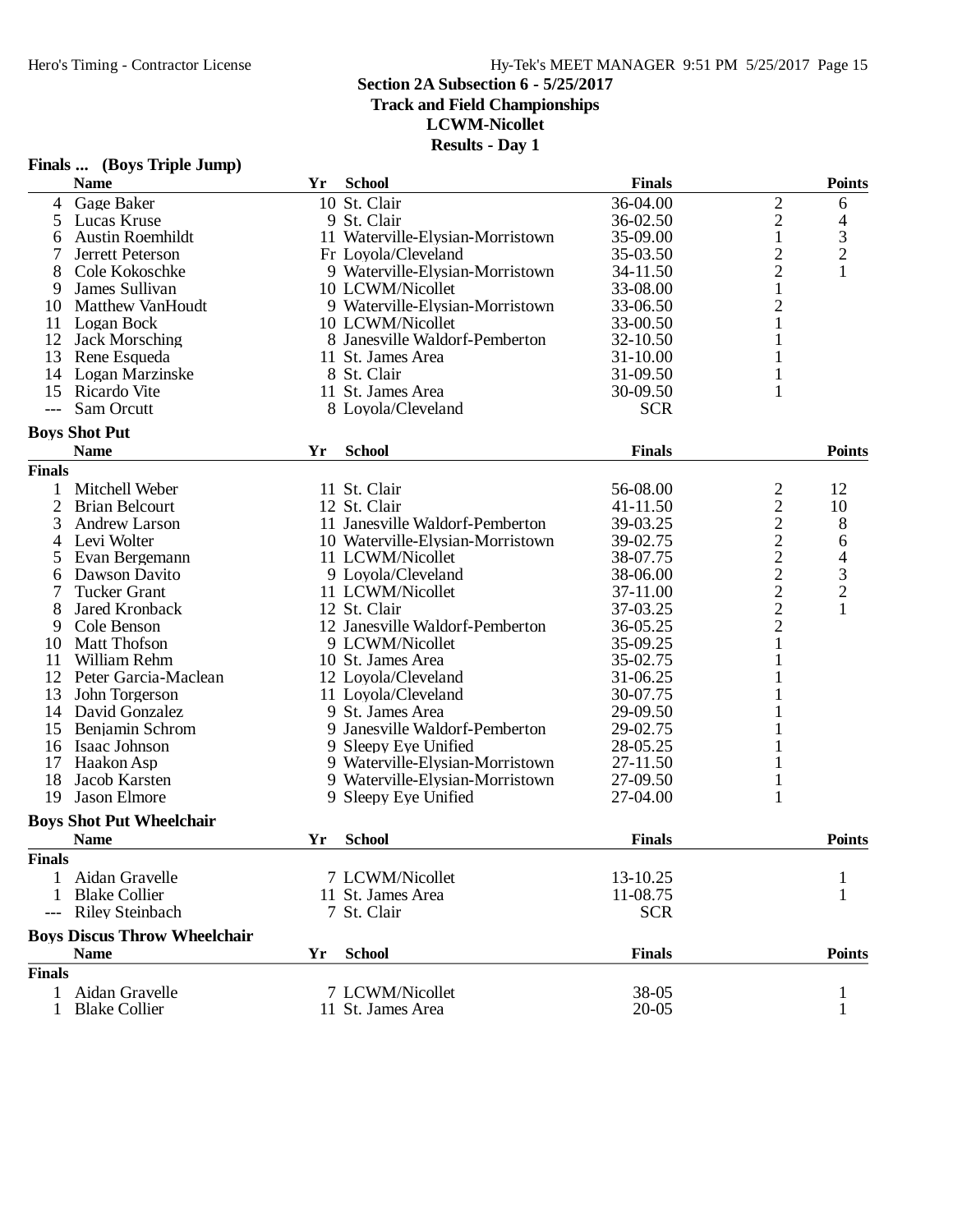**Track and Field Championships**

**LCWM-Nicollet**

|                | Finals  (Boys Triple Jump)          |    |                                  |               |                         |                                            |
|----------------|-------------------------------------|----|----------------------------------|---------------|-------------------------|--------------------------------------------|
|                | <b>Name</b>                         | Yr | <b>School</b>                    | <b>Finals</b> |                         | <b>Points</b>                              |
| 4              | Gage Baker                          |    | 10 St. Clair                     | 36-04.00      | $\overline{c}$          | 6                                          |
| 5              | Lucas Kruse                         |    | 9 St. Clair                      | 36-02.50      | $\overline{c}$          | $\overline{4}$                             |
| 6              | <b>Austin Roemhildt</b>             |    | 11 Waterville-Elysian-Morristown | 35-09.00      | $\,1$                   |                                            |
| $\tau$         | Jerrett Peterson                    |    | Fr Loyola/Cleveland              | 35-03.50      | $\overline{\mathbf{c}}$ | $\frac{3}{2}$                              |
| 8              | Cole Kokoschke                      |    | 9 Waterville-Elysian-Morristown  | 34-11.50      |                         | $\mathbf{1}$                               |
| 9              | James Sullivan                      |    | 10 LCWM/Nicollet                 | 33-08.00      | $\frac{2}{1}$           |                                            |
| 10             | <b>Matthew VanHoudt</b>             |    | 9 Waterville-Elysian-Morristown  | 33-06.50      | $\overline{c}$          |                                            |
| 11             | Logan Bock                          |    | 10 LCWM/Nicollet                 | 33-00.50      | $\mathbf{1}$            |                                            |
| 12             | <b>Jack Morsching</b>               |    | 8 Janesville Waldorf-Pemberton   | 32-10.50      | $\mathbf{1}$            |                                            |
| 13             | Rene Esqueda                        |    | 11 St. James Area                | $31 - 10.00$  | $\mathbf{1}$            |                                            |
| 14             | Logan Marzinske                     |    | 8 St. Clair                      | 31-09.50      | 1                       |                                            |
| 15             | Ricardo Vite                        |    | 11 St. James Area                | 30-09.50      | 1                       |                                            |
| $---$          | Sam Orcutt                          |    | 8 Loyola/Cleveland               | <b>SCR</b>    |                         |                                            |
|                | <b>Boys Shot Put</b>                |    |                                  |               |                         |                                            |
|                | <b>Name</b>                         | Yr | <b>School</b>                    | <b>Finals</b> |                         | <b>Points</b>                              |
| <b>Finals</b>  |                                     |    |                                  |               |                         |                                            |
| $\mathbf{1}$   | Mitchell Weber                      |    | 11 St. Clair                     | 56-08.00      | $\overline{\mathbf{c}}$ | 12                                         |
| $\overline{2}$ | <b>Brian Belcourt</b>               |    | 12 St. Clair                     | 41-11.50      | $\overline{\mathbf{c}}$ | 10                                         |
| 3              | Andrew Larson                       |    | 11 Janesville Waldorf-Pemberton  | 39-03.25      |                         | 8                                          |
| 4              | Levi Wolter                         |    | 10 Waterville-Elysian-Morristown | 39-02.75      |                         |                                            |
|                |                                     |    | 11 LCWM/Nicollet                 |               | 22222222                | 6                                          |
| 5              | Evan Bergemann                      |    |                                  | 38-07.75      |                         | $\begin{array}{c} 4 \\ 3 \\ 2 \end{array}$ |
| 6              | Dawson Davito                       |    | 9 Loyola/Cleveland               | 38-06.00      |                         |                                            |
| 7              | <b>Tucker Grant</b>                 |    | 11 LCWM/Nicollet                 | 37-11.00      |                         |                                            |
| 8              | Jared Kronback                      |    | 12 St. Clair                     | 37-03.25      |                         | $\mathbf{1}$                               |
| 9              | Cole Benson                         |    | 12 Janesville Waldorf-Pemberton  | 36-05.25      |                         |                                            |
| 10             | <b>Matt Thofson</b>                 |    | 9 LCWM/Nicollet                  | 35-09.25      | 1                       |                                            |
| 11             | William Rehm                        |    | 10 St. James Area                | 35-02.75      |                         |                                            |
| 12             | Peter Garcia-Maclean                |    | 12 Loyola/Cleveland              | 31-06.25      |                         |                                            |
| 13             | John Torgerson                      |    | 11 Loyola/Cleveland              | 30-07.75      |                         |                                            |
| 14             | David Gonzalez                      |    | 9 St. James Area                 | 29-09.50      |                         |                                            |
| 15             | Benjamin Schrom                     |    | 9 Janesville Waldorf-Pemberton   | 29-02.75      |                         |                                            |
| 16             | Isaac Johnson                       |    | 9 Sleepy Eye Unified             | 28-05.25      |                         |                                            |
| 17             | Haakon Asp                          |    | 9 Waterville-Elysian-Morristown  | 27-11.50      |                         |                                            |
| 18             | Jacob Karsten                       |    | 9 Waterville-Elysian-Morristown  | 27-09.50      | $\mathbf{1}$            |                                            |
| 19             | <b>Jason Elmore</b>                 |    | 9 Sleepy Eye Unified             | 27-04.00      | 1                       |                                            |
|                | <b>Boys Shot Put Wheelchair</b>     |    |                                  |               |                         |                                            |
|                | <b>Name</b>                         | Yr | <b>School</b>                    | <b>Finals</b> |                         | <b>Points</b>                              |
| <b>Finals</b>  |                                     |    |                                  |               |                         |                                            |
| 1.             | Aidan Gravelle                      |    | 7 LCWM/Nicollet                  | 13-10.25      |                         |                                            |
| 1              | <b>Blake Collier</b>                |    | 11 St. James Area                | 11-08.75      |                         |                                            |
|                | <b>Riley Steinbach</b>              |    | 7 St. Clair                      | <b>SCR</b>    |                         |                                            |
|                | <b>Boys Discus Throw Wheelchair</b> |    |                                  |               |                         |                                            |
|                | <b>Name</b>                         | Yr | <b>School</b>                    | <b>Finals</b> |                         | <b>Points</b>                              |
| <b>Finals</b>  |                                     |    |                                  |               |                         |                                            |
| $\mathbf{1}$   | Aidan Gravelle                      |    | 7 LCWM/Nicollet                  | 38-05         |                         |                                            |
| 1              | <b>Blake Collier</b>                |    | 11 St. James Area                | $20 - 05$     |                         |                                            |